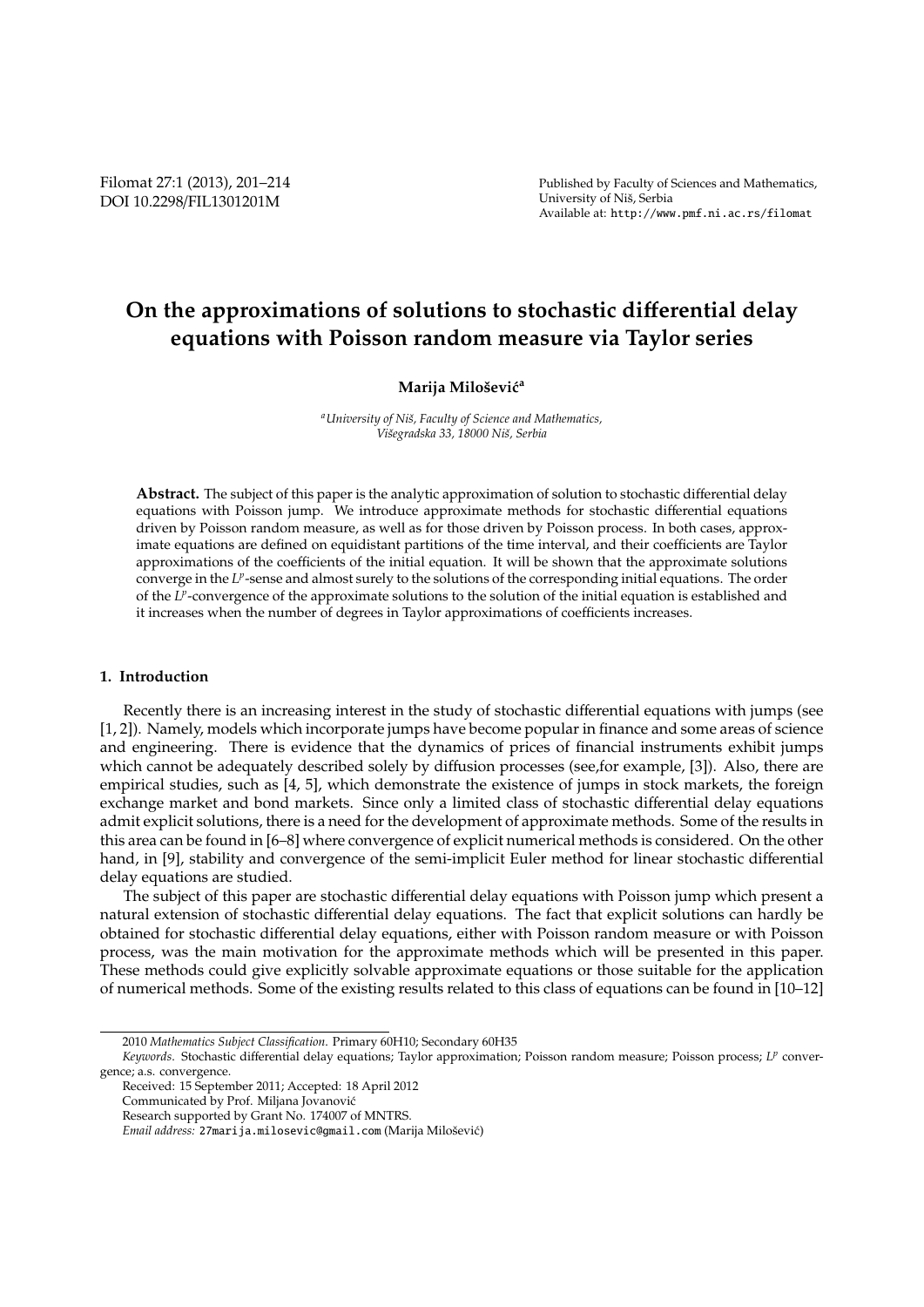Published by Faculty of Sciences and Mathematics, University of Niš, Serbia Available at: http://www.pmf.ni.ac.rs/filomat

# **On the approximations of solutions to stochastic di**ff**erential delay equations with Poisson random measure via Taylor series**

## **Marija Miloˇsevi´c<sup>a</sup>**

*<sup>a</sup>University of Niˇs, Faculty of Science and Mathematics, Viˇsegradska 33, 18000 Niˇs, Serbia*

**Abstract.** The subject of this paper is the analytic approximation of solution to stochastic differential delay equations with Poisson jump. We introduce approximate methods for stochastic differential equations driven by Poisson random measure, as well as for those driven by Poisson process. In both cases, approximate equations are defined on equidistant partitions of the time interval, and their coefficients are Taylor approximations of the coefficients of the initial equation. It will be shown that the approximate solutions converge in the L<sup>*p*</sup>-sense and almost surely to the solutions of the corresponding initial equations. The order of the *LP*-convergence of the approximate solutions to the solution of the initial equation is established and it increases when the number of degrees in Taylor approximations of coefficients increases.

## **1. Introduction**

Recently there is an increasing interest in the study of stochastic differential equations with jumps (see [1, 2]). Namely, models which incorporate jumps have become popular in finance and some areas of science and engineering. There is evidence that the dynamics of prices of financial instruments exhibit jumps which cannot be adequately described solely by diffusion processes (see,for example, [3]). Also, there are empirical studies, such as [4, 5], which demonstrate the existence of jumps in stock markets, the foreign exchange market and bond markets. Since only a limited class of stochastic differential delay equations admit explicit solutions, there is a need for the development of approximate methods. Some of the results in this area can be found in [6–8] where convergence of explicit numerical methods is considered. On the other hand, in [9], stability and convergence of the semi-implicit Euler method for linear stochastic differential delay equations are studied.

The subject of this paper are stochastic differential delay equations with Poisson jump which present a natural extension of stochastic differential delay equations. The fact that explicit solutions can hardly be obtained for stochastic differential delay equations, either with Poisson random measure or with Poisson process, was the main motivation for the approximate methods which will be presented in this paper. These methods could give explicitly solvable approximate equations or those suitable for the application of numerical methods. Some of the existing results related to this class of equations can be found in [10–12]

<sup>2010</sup> *Mathematics Subject Classification*. Primary 60H10; Secondary 60H35

*Keywords*. Stochastic differential delay equations; Taylor approximation; Poisson random measure; Poisson process; *L p* convergence; a.s. convergence.

Received: 15 September 2011; Accepted: 18 April 2012

Communicated by Prof. Miljana Jovanovic´

Research supported by Grant No. 174007 of MNTRS.

*Email address:* 27 marija.milosevic@gmail.com (Marija Milošević)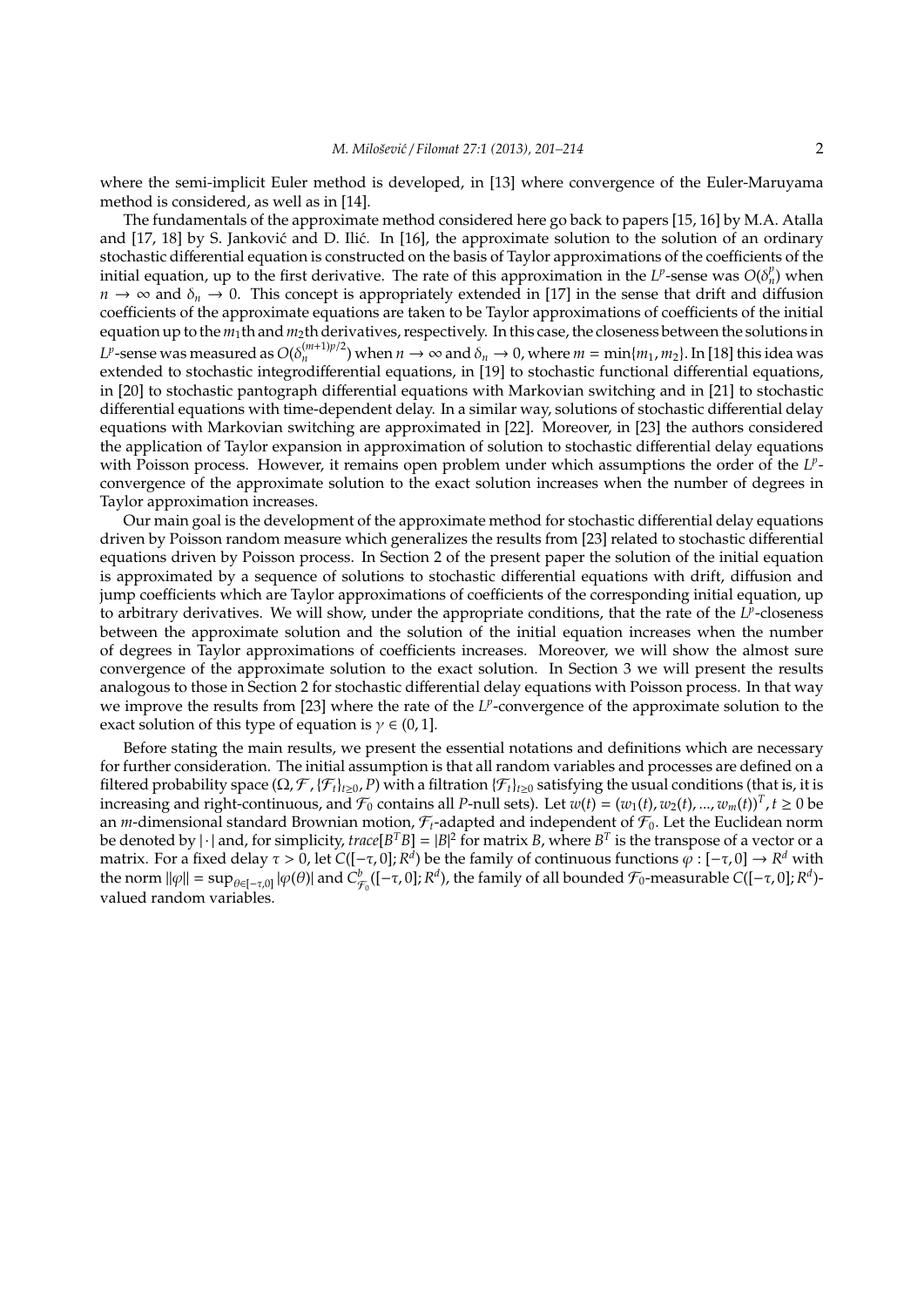where the semi-implicit Euler method is developed, in [13] where convergence of the Euler-Maruyama method is considered, as well as in [14].

The fundamentals of the approximate method considered here go back to papers [15, 16] by M.A. Atalla and  $[17, 18]$  by S. Janković and D. Ilić. In  $[16]$ , the approximate solution to the solution of an ordinary stochastic differential equation is constructed on the basis of Taylor approximations of the coefficients of the initial equation, up to the first derivative. The rate of this approximation in the *L<sup>p</sup>*-sense was  $O(\delta_n^p)$  when  $n \to \infty$  and  $\delta_n \to 0$ . This concept is appropriately extended in [17] in the sense that drift and diffusion coefficients of the approximate equations are taken to be Taylor approximations of coefficients of the initial equation up to the  $m_1$ th and  $m_2$ th derivatives, respectively. In this case, the closeness between the solutions in  $L^p$ -sense was measured as  $O(\delta_n^{(m+1)p/2})$  when  $n\to\infty$  and  $\delta_n\to 0$ , where  $m=\min\{m_1,m_2\}.$  In [18] this idea was extended to stochastic integrodifferential equations, in [19] to stochastic functional differential equations, in [20] to stochastic pantograph differential equations with Markovian switching and in [21] to stochastic differential equations with time-dependent delay. In a similar way, solutions of stochastic differential delay equations with Markovian switching are approximated in [22]. Moreover, in [23] the authors considered the application of Taylor expansion in approximation of solution to stochastic differential delay equations with Poisson process. However, it remains open problem under which assumptions the order of the LPconvergence of the approximate solution to the exact solution increases when the number of degrees in Taylor approximation increases.

Our main goal is the development of the approximate method for stochastic differential delay equations driven by Poisson random measure which generalizes the results from [23] related to stochastic differential equations driven by Poisson process. In Section 2 of the present paper the solution of the initial equation is approximated by a sequence of solutions to stochastic differential equations with drift, diffusion and jump coefficients which are Taylor approximations of coefficients of the corresponding initial equation, up to arbitrary derivatives. We will show, under the appropriate conditions, that the rate of the L<sup>p</sup>-closeness between the approximate solution and the solution of the initial equation increases when the number of degrees in Taylor approximations of coefficients increases. Moreover, we will show the almost sure convergence of the approximate solution to the exact solution. In Section 3 we will present the results analogous to those in Section 2 for stochastic differential delay equations with Poisson process. In that way we improve the results from [23] where the rate of the *LP*-convergence of the approximate solution to the exact solution of this type of equation is  $\gamma \in (0, 1]$ .

Before stating the main results, we present the essential notations and definitions which are necessary for further consideration. The initial assumption is that all random variables and processes are defined on a filtered probability space ( $\Omega$ ,  $\mathcal{F}$ ,  $\{\mathcal{F}_t\}_{t\ge0}$ ,  $P$ ) with a filtration  $\{\mathcal{F}_t\}_{t\ge0}$  satisfying the usual conditions (that is, it is increasing and right-continuous, and  $\mathcal{F}_0$  contains all *P*-null sets). Let  $w(t) = (w_1(t), w_2(t), ..., w_m(t))^T$ ,  $t \ge 0$  be an *m*-dimensional standard Brownian motion,  $\mathcal{F}_t$ -adapted and independent of  $\mathcal{F}_0$ . Let the Euclidean norm be denoted by  $|\cdot|$  and, for simplicity, trace[B<sup>T</sup>B] = |B|<sup>2</sup> for matrix *B*, where B<sup>T</sup> is the transpose of a vector or a matrix. For a fixed delay τ > 0, let C([−τ,0]; R<sup>d</sup>) be the family of continuous functions φ : [−τ,0] → R<sup>d</sup> with the norm  $\|\varphi\| = \sup_{\theta \in [-\tau,0]} |\varphi(\theta)|$  and  $C^b_{\mathcal{F}_0}([-\tau,0];R^d)$ , the family of all bounded  $\mathcal{F}_0$ -measurable  $C([-\tau,0];R^d)$ valued random variables.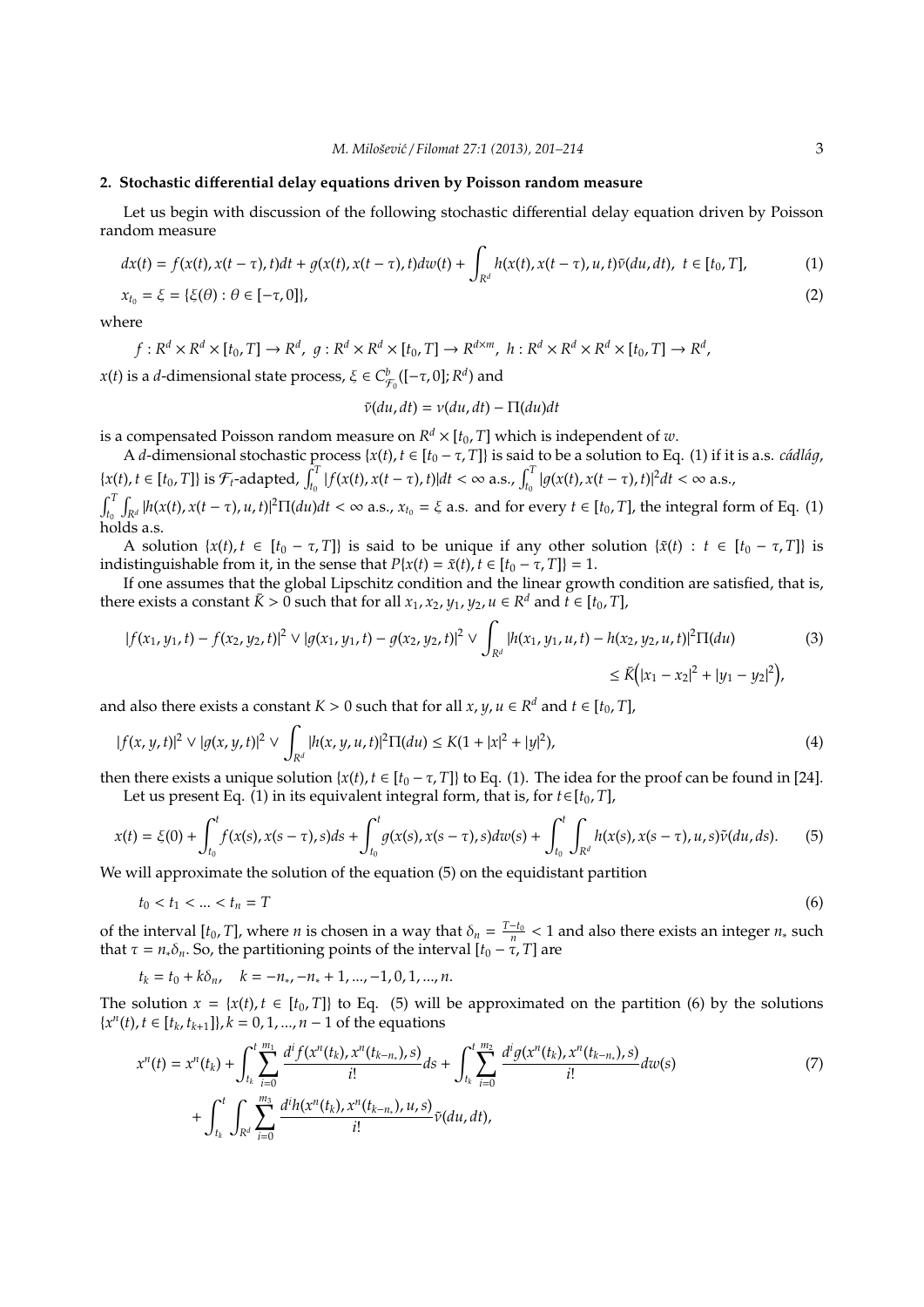#### **2. Stochastic di**ff**erential delay equations driven by Poisson random measure**

Let us begin with discussion of the following stochastic differential delay equation driven by Poisson random measure

$$
dx(t) = f(x(t), x(t-\tau), t)dt + g(x(t), x(t-\tau), t)dw(t) + \int_{R^d} h(x(t), x(t-\tau), u, t)\tilde{v}(du, dt), \ t \in [t_0, T],
$$
  
\n
$$
x_{t_0} = \xi = \{\xi(\theta) : \theta \in [-\tau, 0]\},
$$
\n(2)

where

$$
f: R^d \times R^d \times [t_0, T] \to R^d, \ g: R^d \times R^d \times [t_0, T] \to R^{d \times m}, \ h: R^d \times R^d \times R^d \times [t_0, T] \to R^d,
$$

*x*(*t*) is a *d*-dimensional state process,  $\xi \in C^b_{\mathcal{F}_0}([-\tau,0];R^d)$  and

$$
\tilde{v}(du, dt) = v(du, dt) - \Pi(du)dt
$$

is a compensated Poisson random measure on  $R^d\times [t_0,T]$  which is independent of  $w.$ 

A *d*-dimensional stochastic process { $x(t)$ ,  $t \in [t_0 - \tau, T]$ } is said to be a solution to Eq. (1) if it is a.s. *cádlág*,  $\{x(t), t \in [t_0, T]\}\$ is  $\mathcal{F}_t$ -adapted,  $\int_{t_0}^T |f(x(t), x(t-\tau), t)| dt < \infty$  a.s.,  $\int_{t_0}^T |g(x(t), x(t-\tau), t)|^2 dt < \infty$  a.s.,

 $\int_{t_0}^{T} \int_{\mathbb{R}^d} |h(x(t), x(t-\tau), u, t)|^2 \Pi(du) dt < \infty$  a.s.,  $x_{t_0} = \xi$  a.s. and for every  $t \in [t_0, T]$ , the integral form of Eq. (1) holds a.s.

A solution  $\{x(t), t \in [t_0 - \tau, T]\}$  is said to be unique if any other solution  $\{\tilde{x}(t): t \in [t_0 - \tau, T]\}$  is indistinguishable from it, in the sense that  $P{x(t) = \tilde{x}(t), t \in [t_0 - \tau, T]} = 1$ .

If one assumes that the global Lipschitz condition and the linear growth condition are satisfied, that is, there exists a constant  $\bar{K} > 0$  such that for all  $x_1, x_2, y_1, y_2, u \in \mathbb{R}^d$  and  $t \in [t_0, T]$ ,

$$
|f(x_1, y_1, t) - f(x_2, y_2, t)|^2 \vee |g(x_1, y_1, t) - g(x_2, y_2, t)|^2 \vee \int_{\mathbb{R}^d} |h(x_1, y_1, u, t) - h(x_2, y_2, u, t)|^2 \Pi(du)
$$
\n
$$
\leq \bar{K} \Big( |x_1 - x_2|^2 + |y_1 - y_2|^2 \Big),
$$
\n(3)

and also there exists a constant  $K > 0$  such that for all  $x, y, u \in R^d$  and  $t \in [t_0, T]$ ,

$$
|f(x, y, t)|^2 \vee |g(x, y, t)|^2 \vee \int_{R^d} |h(x, y, u, t)|^2 \Pi(du) \le K(1 + |x|^2 + |y|^2),\tag{4}
$$

then there exists a unique solution  $\{x(t), t \in [t_0 - \tau, T]\}$  to Eq. (1). The idea for the proof can be found in [24]. Let us present Eq. (1) in its equivalent integral form, that is, for  $t \in [t_0, T]$ ,

$$
x(t) = \xi(0) + \int_{t_0}^t f(x(s), x(s-\tau), s)ds + \int_{t_0}^t g(x(s), x(s-\tau), s)dw(s) + \int_{t_0}^t \int_{R^d} h(x(s), x(s-\tau), u, s)\tilde{v}(du, ds).
$$
 (5)

We will approximate the solution of the equation (5) on the equidistant partition

$$
t_0 < t_1 < \dots < t_n = T
$$
\n<sup>(6)</sup>

of the interval  $[t_0, T]$ , where *n* is chosen in a way that  $\delta_n = \frac{T-t_0}{n} < 1$  and also there exists an integer *n*<sub>\*</sub> such that  $\tau = n_*\delta_n$ . So, the partitioning points of the interval  $[t_0 - \tau, T]$  are

 $t_k = t_0 + k\delta_n$ ,  $k = -n_*$ ,  $-n_* + 1$ , ...,  $-1$ , 0, 1, ..., *n*.

The solution  $x = \{x(t), t \in [t_0, T]\}$  to Eq. (5) will be approximated on the partition (6) by the solutions {*x n* (*t*), *t* ∈ [*t<sup>k</sup>* , *t<sup>k</sup>*+<sup>1</sup>]}, *k* = 0, 1, ..., *n* − 1 of the equations

$$
x^{n}(t) = x^{n}(t_{k}) + \int_{t_{k}}^{t} \sum_{i=0}^{m_{1}} \frac{d^{i} f(x^{n}(t_{k}), x^{n}(t_{k-n_{*}}), s)}{i!} ds + \int_{t_{k}}^{t} \sum_{i=0}^{m_{2}} \frac{d^{i} g(x^{n}(t_{k}), x^{n}(t_{k-n_{*}}), s)}{i!} dw(s)
$$
  
+ 
$$
\int_{t_{k}}^{t} \int_{R^{d}} \sum_{i=0}^{m_{3}} \frac{d^{i} h(x^{n}(t_{k}), x^{n}(t_{k-n_{*}}), u, s)}{i!} \tilde{v}(du, dt),
$$
 (7)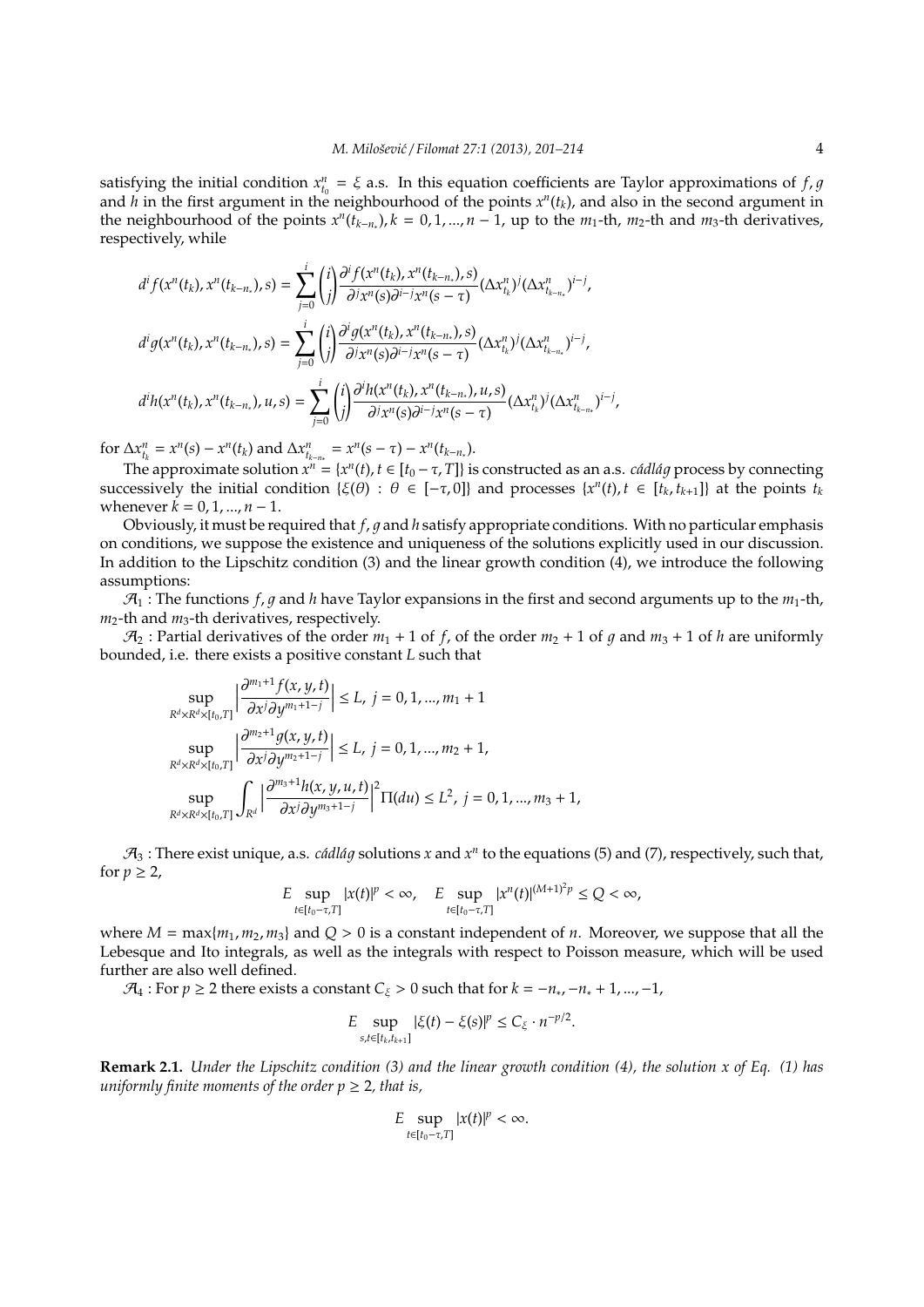satisfying the initial condition  $x_{t_0}^n = \xi$  a.s. In this equation coefficients are Taylor approximations of *f*, *g* and  $h$  in the first argument in the neighbourhood of the points  $x^n(t_k)$ , and also in the second argument in the neighbourhood of the points  $x^n(t_{k-n})$ ,  $k = 0, 1, ..., n-1$ , up to the  $m_1$ -th,  $m_2$ -th and  $m_3$ -th derivatives, respectively, while

$$
d^{i} f(x^{n}(t_{k}), x^{n}(t_{k-n_{*}}), s) = \sum_{j=0}^{i} {i \choose j} \frac{\partial^{i} f(x^{n}(t_{k}), x^{n}(t_{k-n_{*}}), s)}{\partial^{j} x^{n}(s) \partial^{i-j} x^{n}(s-\tau)} (\Delta x_{t_{k}}^{n})^{j} (\Delta x_{t_{k-n_{*}}}^{n})^{i-j},
$$
  
\n
$$
d^{i} g(x^{n}(t_{k}), x^{n}(t_{k-n_{*}}), s) = \sum_{j=0}^{i} {i \choose j} \frac{\partial^{i} g(x^{n}(t_{k}), x^{n}(t_{k-n_{*}}), s)}{\partial^{j} x^{n}(s) \partial^{i-j} x^{n}(s-\tau)} (\Delta x_{t_{k}}^{n})^{j} (\Delta x_{t_{k-n_{*}}}^{n})^{i-j},
$$
  
\n
$$
d^{i} h(x^{n}(t_{k}), x^{n}(t_{k-n_{*}}), u, s) = \sum_{j=0}^{i} {i \choose j} \frac{\partial^{i} h(x^{n}(t_{k}), x^{n}(t_{k-n_{*}}), u, s)}{\partial^{j} x^{n}(s) \partial^{i-j} x^{n}(s-\tau)} (\Delta x_{t_{k}}^{n})^{j} (\Delta x_{t_{k-n_{*}}}^{n})^{i-j}
$$

for  $\Delta x_{t_k}^n = x^n(s) - x^n(t_k)$  and  $\Delta x_{t_{k-n}}^n = x^n(s - \tau) - x^n(t_{k-n})$ .

The approximate solution  $x^n = \{x^n(t), t \in [t_0 - \tau, T]\}$  is constructed as an a.s. *cádlág* process by connecting successively the initial condition  $\{\xi(\theta) : \theta \in [-\tau, 0]\}$  and processes  $\{x^n(t), t \in [t_k, t_{k+1}]\}$  at the points  $t_k$ whenever  $k = 0, 1, ..., n - 1$ .

,

Obviously, it must be required that  $f$ ,  $g$  and  $h$  satisfy appropriate conditions. With no particular emphasis on conditions, we suppose the existence and uniqueness of the solutions explicitly used in our discussion. In addition to the Lipschitz condition (3) and the linear growth condition (4), we introduce the following assumptions:

 $\mathcal{A}_1$ : The functions *f, q* and *h* have Taylor expansions in the first and second arguments up to the  $m_1$ -th, *m*2-th and *m*3-th derivatives, respectively.

 $\mathcal{A}_2$ : Partial derivatives of the order  $m_1 + 1$  of f, of the order  $m_2 + 1$  of q and  $m_3 + 1$  of h are uniformly bounded, i.e. there exists a positive constant *L* such that

$$
\sup_{R^d \times R^d \times [t_0, T]} \left| \frac{\partial^{m_1+1} f(x, y, t)}{\partial x^j \partial y^{m_1+1-j}} \right| \le L, j = 0, 1, ..., m_1 + 1
$$
  
\n
$$
\sup_{R^d \times R^d \times [t_0, T]} \left| \frac{\partial^{m_2+1} g(x, y, t)}{\partial x^j \partial y^{m_2+1-j}} \right| \le L, j = 0, 1, ..., m_2 + 1,
$$
  
\n
$$
\sup_{R^d \times R^d \times [t_0, T]} \int_{R^d} \left| \frac{\partial^{m_3+1} h(x, y, u, t)}{\partial x^j \partial y^{m_3+1-j}} \right|^2 \Pi(du) \le L^2, j = 0, 1, ..., m_3 + 1,
$$

 $\mathcal{A}_3$  : There exist unique, a.s. *cádlág* solutions *x* and  $x^n$  to the equations (5) and (7), respectively, such that, for  $p \geq 2$ ,

$$
E\sup_{t\in[t_0-\tau,T]}|x(t)|^p<\infty,\quad E\sup_{t\in[t_0-\tau,T]}|x^n(t)|^{(M+1)^2p}\leq Q<\infty,
$$

where  $M = \max\{m_1, m_2, m_3\}$  and  $Q > 0$  is a constant independent of *n*. Moreover, we suppose that all the Lebesque and Ito integrals, as well as the integrals with respect to Poisson measure, which will be used further are also well defined.

 $\mathcal{A}_4$ : For  $p \geq 2$  there exists a constant  $C_{\xi} > 0$  such that for  $k = -n_*, -n_* + 1, ..., -1$ ,

$$
E \sup_{s,t \in [t_k,t_{k+1}]} |\xi(t) - \xi(s)|^p \le C_{\xi} \cdot n^{-p/2}.
$$

**Remark 2.1.** *Under the Lipschitz condition (3) and the linear growth condition (4), the solution x of Eq. (1) has uniformly finite moments of the order*  $p \geq 2$ *, that is,* 

$$
E\sup_{t\in[t_0-\tau,T]}|x(t)|^p<\infty.
$$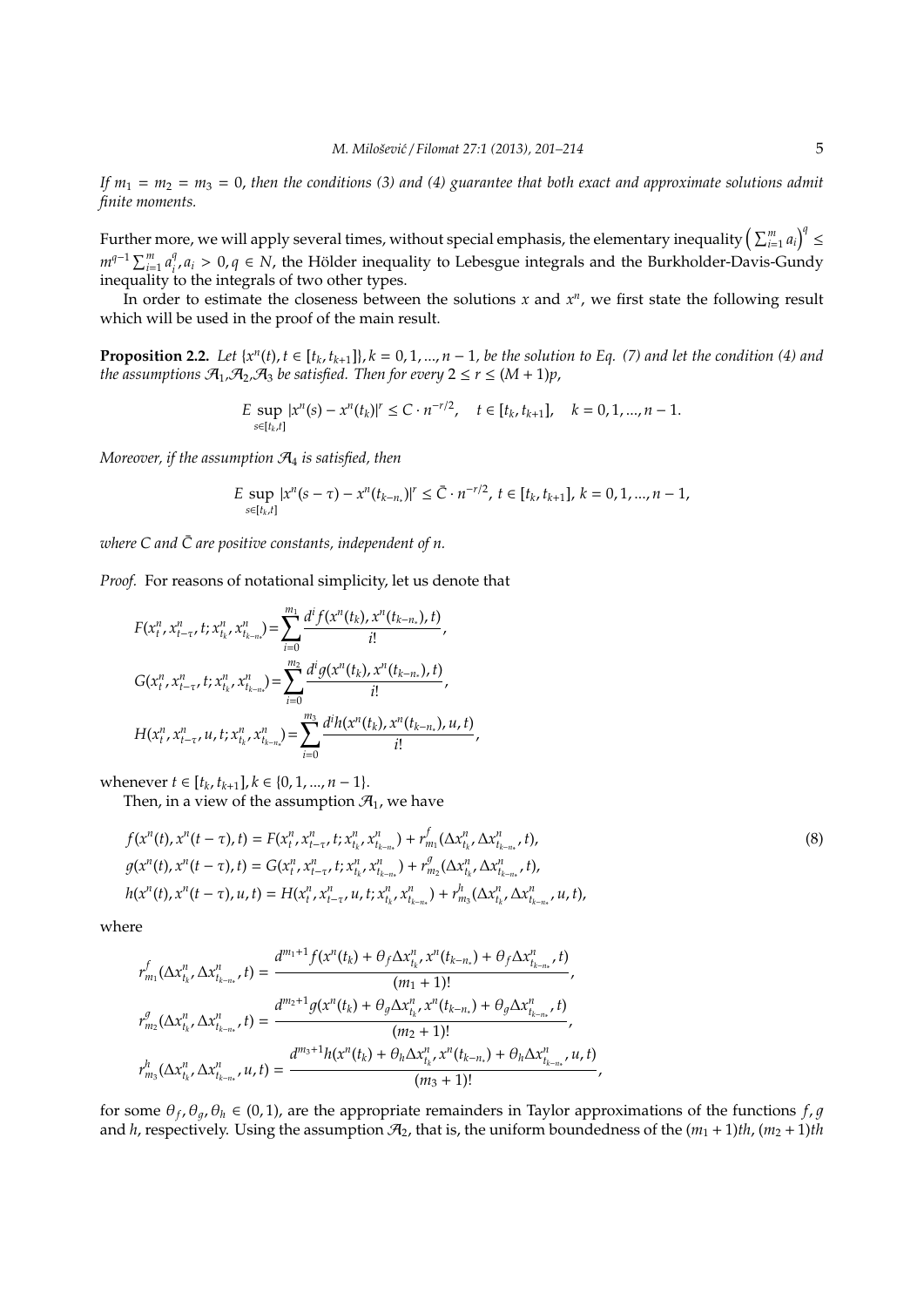*If*  $m_1 = m_2 = m_3 = 0$ , then the conditions (3) and (4) guarantee that both exact and approximate solutions admit *finite moments.*

Further more, we will apply several times, without special emphasis, the elementary inequality  $\left(\sum_{i=1}^m a_i\right)^q\leq$  $m^{q-1} \sum_{i=1}^{m} a_i^q$ <sup>*q*</sup>, *a*<sub>*i*</sub> > 0, *q* ∈ *N*, the Hölder inequality to Lebesgue integrals and the Burkholder-Davis-Gundy inequality to the integrals of two other types.

In order to estimate the closeness between the solutions  $x$  and  $x^n$ , we first state the following result which will be used in the proof of the main result.

**Proposition 2.2.** Let  $\{x^n(t), t \in [t_k, t_{k+1}]\}$ ,  $k = 0, 1, ..., n-1$ , be the solution to Eq. (7) and let the condition (4) and *the assumptions*  $\mathcal{A}_1$ , $\mathcal{A}_2$ , $\mathcal{A}_3$  *be satisfied. Then for every*  $2 \le r \le (M + 1)p$ ,

$$
E \sup_{s \in [t_k, t]} |x^n(s) - x^n(t_k)|^r \leq C \cdot n^{-r/2}, \quad t \in [t_k, t_{k+1}], \quad k = 0, 1, ..., n-1.
$$

*Moreover, if the assumption* A<sup>4</sup> *is satisfied, then*

$$
E \sup_{s \in [t_k, t]} |x^n(s - \tau) - x^n(t_{k-n})|^r \leq \bar{C} \cdot n^{-r/2}, \ t \in [t_k, t_{k+1}], \ k = 0, 1, ..., n-1,
$$

*where*  $C$  and  $\overline{C}$  are positive constants, independent of n.

*Proof.* For reasons of notational simplicity, let us denote that

$$
F(x_t^n, x_{t-\tau}^n, t; x_{t_k}^n, x_{t_{k-n}}^n) = \sum_{i=0}^{m_1} \frac{d^i f(x^n(t_k), x^n(t_{k-n_*}), t)}{i!},
$$
  

$$
G(x_t^n, x_{t-\tau}^n, t; x_{t_k}^n, x_{t_{k-n}}^n) = \sum_{i=0}^{m_2} \frac{d^i g(x^n(t_k), x^n(t_{k-n_*}), t)}{i!},
$$
  

$$
H(x_t^n, x_{t-\tau}^n, u, t; x_{t_k}^n, x_{t_{k-n}}^n) = \sum_{i=0}^{m_3} \frac{d^i h(x^n(t_k), x^n(t_{k-n_*}), u, t)}{i!},
$$

whenever *t* ∈  $[t_k, t_{k+1}]$ ,  $k \in \{0, 1, ..., n-1\}$ .

Then, in a view of the assumption  $\mathcal{A}_1$ , we have

$$
f(x^{n}(t), x^{n}(t-\tau), t) = F(x_{t}^{n}, x_{t-\tau}^{n}, t; x_{t_{k}}^{n}, x_{t_{k-n_{*}}}^{n}) + r_{m_{1}}^{f}(\Delta x_{t_{k}}^{n}, \Delta x_{t_{k-n_{*}}}^{n}, t),
$$
  
\n
$$
g(x^{n}(t), x^{n}(t-\tau), t) = G(x_{t}^{n}, x_{t-\tau}^{n}, t; x_{t_{k}}^{n}, x_{t_{k-n_{*}}}^{n}) + r_{m_{2}}^{g}(\Delta x_{t_{k}}^{n}, \Delta x_{t_{k-n_{*}}}^{n}, t),
$$
  
\n
$$
h(x^{n}(t), x^{n}(t-\tau), u, t) = H(x_{t}^{n}, x_{t-\tau}^{n}, u, t; x_{t_{k}}^{n}, x_{t_{k-n_{*}}}^{n}) + r_{m_{3}}^{h}(\Delta x_{t_{k}}^{n}, \Delta x_{t_{k-n_{*}}}^{n}, u, t),
$$
\n(8)

where

$$
r_{m_1}^f(\Delta x_{t_k}^n, \Delta x_{t_{k-n_*}}^n, t) = \frac{d^{m_1+1}f(x^n(t_k) + \theta_f \Delta x_{t_k}^n, x^n(t_{k-n_*}) + \theta_f \Delta x_{t_{k-n_*}}^n, t)}{(m_1 + 1)!},
$$
  

$$
r_{m_2}^g(\Delta x_{t_k}^n, \Delta x_{t_{k-n_*}}^n, t) = \frac{d^{m_2+1}g(x^n(t_k) + \theta_g \Delta x_{t_k}^n, x^n(t_{k-n_*}) + \theta_g \Delta x_{t_{k-n_*}}^n, t)}{(m_2 + 1)!},
$$
  

$$
r_{m_3}^h(\Delta x_{t_k}^n, \Delta x_{t_{k-n_*}}^n, u, t) = \frac{d^{m_3+1}h(x^n(t_k) + \theta_h \Delta x_{t_k}^n, x^n(t_{k-n_*}) + \theta_h \Delta x_{t_{k-n_*}}^n, u, t)}{(m_3 + 1)!},
$$

for some  $\theta_f$ ,  $\theta_g$ ,  $\theta_h \in (0,1)$ , are the appropriate remainders in Taylor approximations of the functions  $f$ ,  $g$ and *h*, respectively. Using the assumption  $\mathcal{A}_2$ , that is, the uniform boundedness of the  $(m_1 + 1)$ th,  $(m_2 + 1)$ th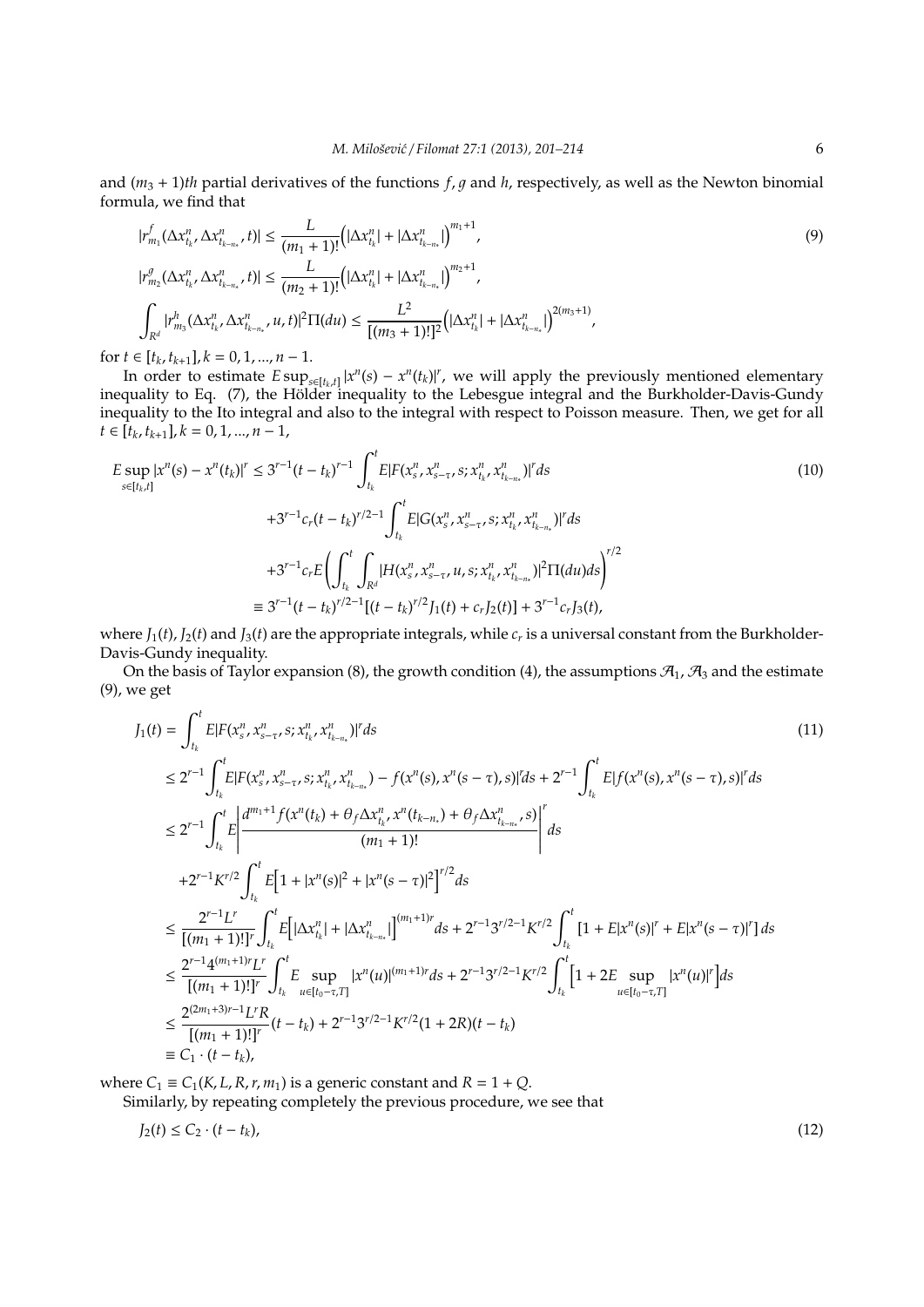and  $(m_3 + 1)$ *th* partial derivatives of the functions *f*, *q* and *h*, respectively, as well as the Newton binomial formula, we find that

$$
|r_{m_1}^f(\Delta x_{t_k}^n, \Delta x_{t_{k-n_*}}^n, t)| \le \frac{L}{(m_1 + 1)!} \Big( |\Delta x_{t_k}^n| + |\Delta x_{t_{k-n_*}}^n| \Big)^{m_1 + 1},
$$
  
\n
$$
|r_{m_2}^g(\Delta x_{t_k}^n, \Delta x_{t_{k-n_*}}^n, t)| \le \frac{L}{(m_2 + 1)!} \Big( |\Delta x_{t_k}^n| + |\Delta x_{t_{k-n_*}}^n| \Big)^{m_2 + 1},
$$
  
\n
$$
\int_{R^d} |r_{m_3}^h(\Delta x_{t_k}^n, \Delta x_{t_{k-n_*}}^n, u, t)|^2 \Pi(du) \le \frac{L^2}{[(m_3 + 1)!]^2} \Big( |\Delta x_{t_k}^n| + |\Delta x_{t_{k-n_*}}^n| \Big)^{2(m_3 + 1)},
$$
\n(9)

for  $t \in [t_k, t_{k+1}], k = 0, 1, ..., n-1.$ 

In order to estimate  $E \sup_{s \in [t_k, t]} |x^n(s) - x^n(t_k)|^r$ , we will apply the previously mentioned elementary inequality to Eq. (7), the Hölder inequality to the Lebesgue integral and the Burkholder-Davis-Gundy inequality to the Ito integral and also to the integral with respect to Poisson measure. Then, we get for all  $t \in [t_k, t_{k+1}], k = 0, 1, ..., n-1,$ 

$$
E \sup_{s \in [t_k, t]} |x^n(s) - x^n(t_k)|^r \le 3^{r-1} (t - t_k)^{r-1} \int_{t_k}^t E[F(x_s^n, x_{s-\tau}^n, s; x_{t_k}^n, x_{t_{k-n}}^n)|^r ds
$$
  
+3^{r-1} c\_r (t - t\_k)^{r/2-1} \int\_{t\_k}^t E[G(x\_s^n, x\_{s-\tau}^n, s; x\_{t\_k}^n, x\_{t\_{k-n}}^n)|^r ds  
+3^{r-1} c\_r E\left(\int\_{t\_k}^t \int\_{R^d} |H(x\_s^n, x\_{s-\tau}^n, u, s; x\_{t\_k}^n, x\_{t\_{k-n}}^n)|^2 \Pi(du) ds\right)^{r/2}  
\equiv 3^{r-1} (t - t\_k)^{r/2-1} [(t - t\_k)^{r/2}]\_1(t) + c\_r J\_2(t)] + 3^{r-1} c\_r J\_3(t), (10)

where  $J_1(t)$ ,  $J_2(t)$  and  $J_3(t)$  are the appropriate integrals, while  $c_r$  is a universal constant from the Burkholder-Davis-Gundy inequality.

On the basis of Taylor expansion (8), the growth condition (4), the assumptions  $\mathcal{A}_1$ ,  $\mathcal{A}_3$  and the estimate (9), we get

$$
J_{1}(t) = \int_{t_{k}}^{t} E[F(x_{s}^{n}, x_{s-\tau}^{n}, s; x_{t_{k}}^{n}, x_{t_{k-n}}^{n})]^{r} ds
$$
\n
$$
\leq 2^{r-1} \int_{t_{k}}^{t} E[F(x_{s}^{n}, x_{s-\tau}^{n}, s; x_{t_{k}}^{n}, x_{t_{k-n}}^{n}) - f(x^{n}(s), x^{n}(s-\tau), s)]^{r} ds + 2^{r-1} \int_{t_{k}}^{t} E[f(x^{n}(s), x^{n}(s-\tau), s)]^{r} ds
$$
\n
$$
\leq 2^{r-1} \int_{t_{k}}^{t} E\left|\frac{d^{m_{1}+1} f(x^{n}(t_{k}) + \theta_{f} \Delta x_{t_{k}}^{n}, x^{n}(t_{k-n}) + \theta_{f} \Delta x_{t_{k-n}}^{n}, s)}{(m_{1}+1)!}\right|^{r} ds
$$
\n
$$
+2^{r-1} K^{r/2} \int_{t_{k}}^{t} E\left[1 + |x^{n}(s)|^{2} + |x^{n}(s-\tau)|^{2}\right]^{r/2} ds
$$
\n
$$
\leq \frac{2^{r-1} L^{r}}{[(m_{1}+1)!]^{r}} \int_{t_{k}}^{t} E\left[\left|\Delta x_{t_{k}}^{n}\right| + \left|\Delta x_{t_{k-n}}^{n}\right|\right]^{(m_{1}+1)r} ds + 2^{r-1}3^{r/2-1} K^{r/2} \int_{t_{k}}^{t} \left[1 + E|x^{n}(s)|^{r} + E|x^{n}(s-\tau)|^{r}\right] ds
$$
\n
$$
\leq \frac{2^{r-1} 4^{(m_{1}+1)!} L^{r}}{[(m_{1}+1)!]^{r}} \int_{t_{k}}^{t} E\sup_{u \in [t_{0}-\tau,T]} |x^{n}(u)|^{(m_{1}+1)r} ds + 2^{r-1}3^{r/2-1} K^{r/2} \int_{t_{k}}^{t} \left[1 + 2E\sup_{u \in [t_{0}-\tau,T]} |x^{n}(u)|^{r}\right] ds
$$
\n
$$
\leq \frac{2^{(2m_{1}+3)r-1} L^{r} R}{[(m_{1}+1)!]^{r}} (t-t_{k}) + 2^{r-1}3^{
$$

where  $C_1 \equiv C_1(K, L, R, r, m_1)$  is a generic constant and  $R = 1 + Q$ .

Similarly, by repeating completely the previous procedure, we see that

$$
J_2(t) \le C_2 \cdot (t - t_k),\tag{12}
$$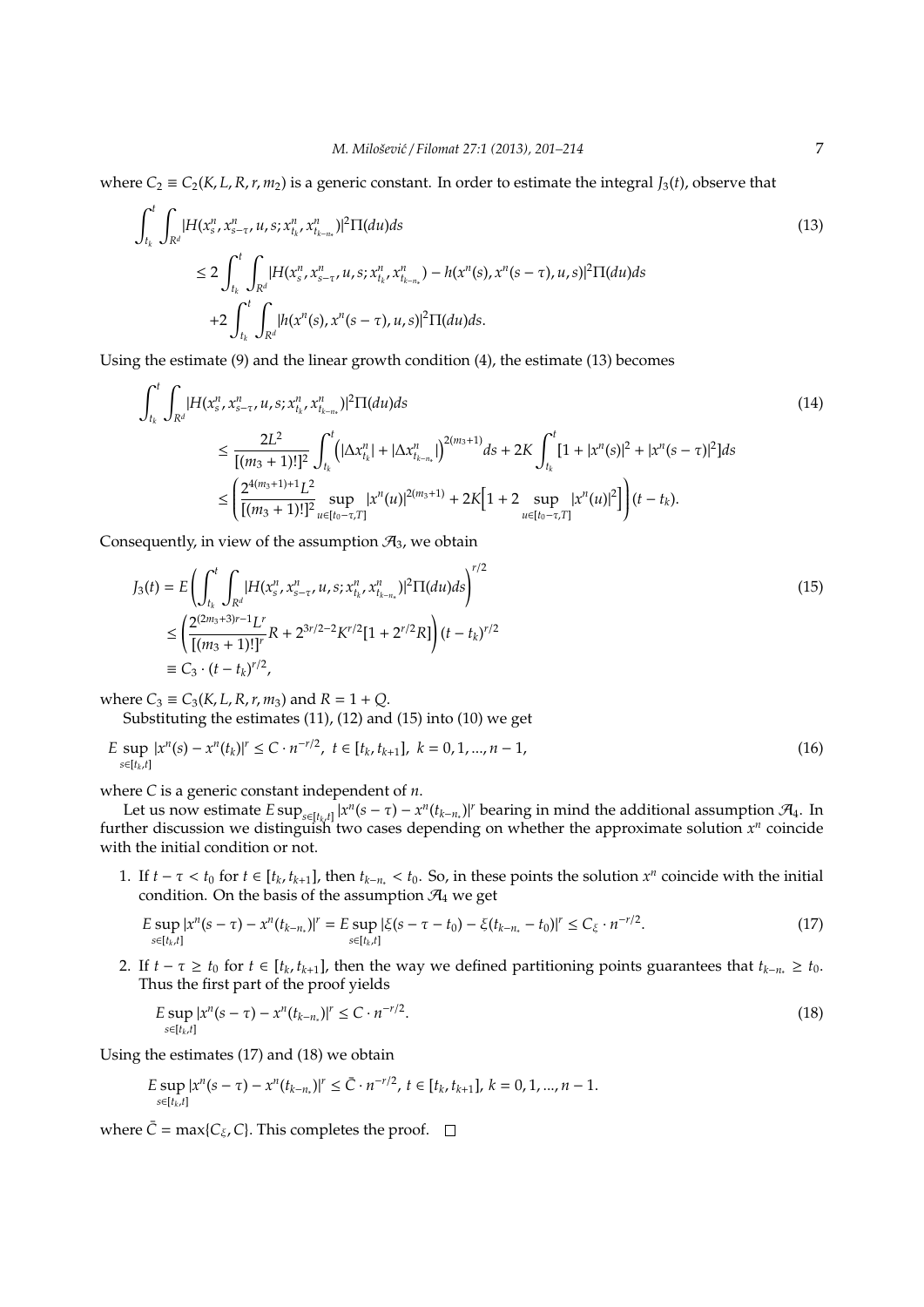where  $C_2 \equiv C_2(K, L, R, r, m_2)$  is a generic constant. In order to estimate the integral *J*<sub>3</sub>(*t*), observe that

$$
\int_{t_k}^{t} \int_{R^d} |H(x_s^n, x_{s-\tau}^n, u, s; x_{t_k}^n, x_{t_{k-n_s}}^n)|^2 \Pi(du) ds
$$
\n
$$
\leq 2 \int_{t_k}^{t} \int_{R^d} |H(x_s^n, x_{s-\tau}^n, u, s; x_{t_k}^n, x_{t_{k-n_s}}^n) - h(x^n(s), x^n(s-\tau), u, s)|^2 \Pi(du) ds
$$
\n
$$
+ 2 \int_{t_k}^{t} \int_{R^d} |h(x^n(s), x^n(s-\tau), u, s)|^2 \Pi(du) ds.
$$
\n(13)

Using the estimate (9) and the linear growth condition (4), the estimate (13) becomes

$$
\int_{t_k}^{t} \int_{R^d} |H(x_s^n, x_{s-\tau}^n, u, s; x_{t_k}^n, x_{t_{k-n}}^n)|^2 \Pi(du) ds
$$
\n
$$
\leq \frac{2L^2}{[(m_3 + 1)!]^2} \int_{t_k}^{t} \left( |\Delta x_{t_k}^n| + |\Delta x_{t_{k-n}}^n| \right)^{2(m_3 + 1)} ds + 2K \int_{t_k}^{t} [1 + |x^n(s)|^2 + |x^n(s - \tau)|^2] ds
$$
\n
$$
\leq \left( \frac{2^{4(m_3 + 1) + 1} L^2}{[(m_3 + 1)!]^2} \sup_{u \in [t_0 - \tau, T]} |x^n(u)|^{2(m_3 + 1)} + 2K [1 + 2 \sup_{u \in [t_0 - \tau, T]} |x^n(u)|^2] \right) (t - t_k).
$$
\n(14)

Consequently, in view of the assumption  $\mathcal{A}_3$ , we obtain

$$
J_3(t) = E \left( \int_{t_k}^t \int_{R^d} |H(x_s^n, x_{s-\tau}^n, u, s; x_{t_k}^n, x_{t_{k-n}}^n)|^2 \Pi(du) ds \right)^{r/2}
$$
  
\n
$$
\leq \left( \frac{2^{(2m_3+3)r-1} L^r}{[(m_3+1)!]^r} R + 2^{3r/2-2} K^{r/2} [1 + 2^{r/2} R] \right) (t - t_k)^{r/2}
$$
  
\n
$$
\equiv C_3 \cdot (t - t_k)^{r/2},
$$
\n(15)

where  $C_3 \equiv C_3(K, L, R, r, m_3)$  and  $R = 1 + Q$ .

Substituting the estimates (11), (12) and (15) into (10) we get

$$
E \sup_{s \in [t_k, t]} |x^n(s) - x^n(t_k)|^r \le C \cdot n^{-r/2}, \ t \in [t_k, t_{k+1}], \ k = 0, 1, ..., n-1,
$$
\n(16)

where *C* is a generic constant independent of *n*.

Let us now estimate  $E \sup_{s \in [t_k, t]} |x^n(s - \tau) - x^n(t_{k-n})|$ <sup>*r*</sup> bearing in mind the additional assumption  $\mathcal{A}_4$ . In further discussion we distinguish two cases depending on whether the approximate solution  $x^n$  coincide with the initial condition or not.

1. If  $t - \tau < t_0$  for  $t \in [t_k, t_{k+1}]$ , then  $t_{k-n_*} < t_0$ . So, in these points the solution  $x^n$  coincide with the initial condition. On the basis of the assumption  $\mathcal{A}_4$  we get

$$
E \sup_{s \in [t_k, t]} |x^n(s - \tau) - x^n(t_{k - n_s})|^r = E \sup_{s \in [t_k, t]} |\xi(s - \tau - t_0) - \xi(t_{k - n_s} - t_0)|^r \le C_{\xi} \cdot n^{-r/2}.
$$
\n(17)

2. If  $t - \tau \geq t_0$  for  $t \in [t_k, t_{k+1}]$ , then the way we defined partitioning points guarantees that  $t_{k-n} \geq t_0$ . Thus the first part of the proof yields

$$
E \sup_{s \in [t_k, t]} |x^n(s - \tau) - x^n(t_{k - n_*})|^r \le C \cdot n^{-r/2}.
$$
\n(18)

Using the estimates (17) and (18) we obtain

$$
E \sup_{s \in [t_k,t]} |x^n(s-\tau) - x^n(t_{k-n})|^r \leq \bar{C} \cdot n^{-r/2}, \ t \in [t_k,t_{k+1}], \ k = 0,1,...,n-1.
$$

where  $\bar{C} = \max\{C_{\xi}, C\}$ . This completes the proof.  $\Box$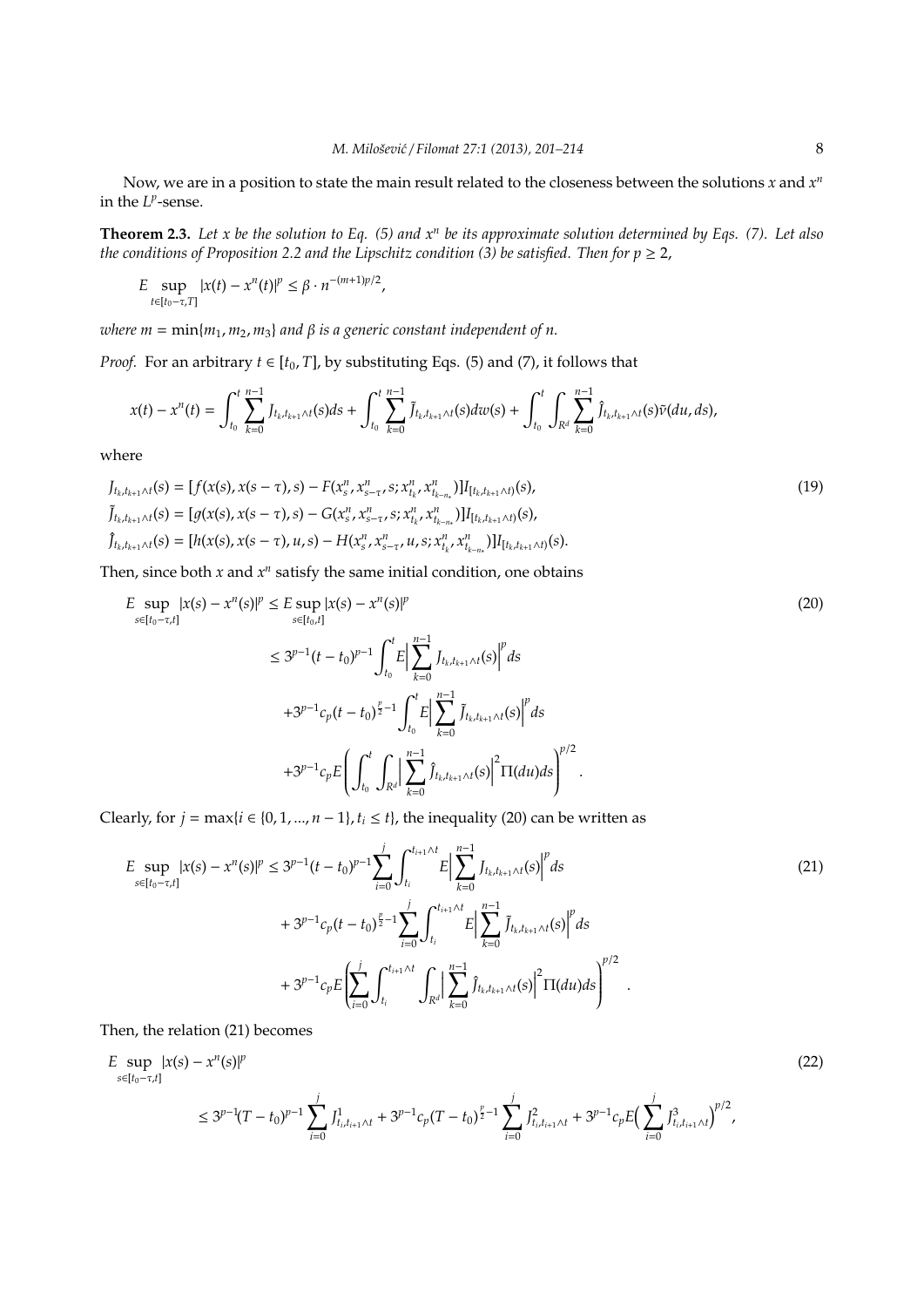Now, we are in a position to state the main result related to the closeness between the solutions  $x$  and  $x^n$ in the  $L^p$ -sense.

**Theorem 2.3.** *Let x be the solution to Eq. (5) and x<sup>n</sup> be its approximate solution determined by Eqs. (7). Let also the conditions of Proposition 2.2 and the Lipschitz condition (3) be satisfied. Then for*  $p \ge 2$ *,* 

$$
E \sup_{t \in [t_0 - \tau, T]} |x(t) - x^n(t)|^p \leq \beta \cdot n^{-(m+1)p/2},
$$

*where*  $m = \min\{m_1, m_2, m_3\}$  *and*  $\beta$  *is a generic constant independent of n.* 

*Proof.* For an arbitrary  $t \in [t_0, T]$ , by substituting Eqs. (5) and (7), it follows that

$$
x(t) - x^{n}(t) = \int_{t_0}^{t} \sum_{k=0}^{n-1} J_{t_k,t_{k+1}\wedge t}(s)ds + \int_{t_0}^{t} \sum_{k=0}^{n-1} \tilde{J}_{t_k,t_{k+1}\wedge t}(s)dw(s) + \int_{t_0}^{t} \int_{R^d} \sum_{k=0}^{n-1} \hat{J}_{t_k,t_{k+1}\wedge t}(s)\tilde{v}(du,ds),
$$

where

$$
J_{t_k,t_{k+1}\wedge t}(s) = [f(x(s), x(s-\tau), s) - F(x_s^n, x_{s-\tau}^n, s; x_{t_k}^n, x_{t_{k-n}}^n)]I_{[t_k,t_{k+1}\wedge t)}(s),
$$
  
\n
$$
\tilde{J}_{t_k,t_{k+1}\wedge t}(s) = [g(x(s), x(s-\tau), s) - G(x_s^n, x_{s-\tau}^n, s; x_{t_k}^n, x_{t_{k-n}}^n)]I_{[t_k,t_{k+1}\wedge t)}(s),
$$
  
\n
$$
\hat{J}_{t_k,t_{k+1}\wedge t}(s) = [h(x(s), x(s-\tau), u, s) - H(x_s^n, x_{s-\tau}^n, u, s; x_{t_k}^n, x_{t_{k-n}}^n)]I_{[t_k,t_{k+1}\wedge t)}(s).
$$
\n(19)

Then, since both  $x$  and  $x^n$  satisfy the same initial condition, one obtains

$$
E \sup_{s \in [t_0 - \tau, t]} |x(s) - x^n(s)|^p \le E \sup_{s \in [t_0, t]} |x(s) - x^n(s)|^p
$$
  
\n
$$
\le 3^{p-1} (t - t_0)^{p-1} \int_{t_0}^t E \Big| \sum_{k=0}^{n-1} J_{t_k, t_{k+1} \wedge t}(s) \Big|^p ds
$$
  
\n
$$
+ 3^{p-1} c_p (t - t_0)^{\frac{p}{2} - 1} \int_{t_0}^t E \Big| \sum_{k=0}^{n-1} \tilde{J}_{t_k, t_{k+1} \wedge t}(s) \Big|^p ds
$$
  
\n
$$
+ 3^{p-1} c_p E \Bigg( \int_{t_0}^t \int_{R^d} \Big| \sum_{k=0}^{n-1} \hat{J}_{t_k, t_{k+1} \wedge t}(s) \Big|^2 \Pi(du) ds \Bigg)^{p/2}.
$$
\n(20)

Clearly, for  $j = \max\{i \in \{0, 1, ..., n-1\}, t_i \leq t\}$ , the inequality (20) can be written as

$$
E \sup_{s \in [t_0 - \tau, t]} |x(s) - x^n(s)|^p \le 3^{p-1} (t - t_0)^{p-1} \sum_{i=0}^j \int_{t_i}^{t_{i+1} \wedge t} E \Big| \sum_{k=0}^{n-1} J_{t_k, t_{k+1} \wedge t}(s) \Big|^p ds
$$
  
+  $3^{p-1} c_p (t - t_0)^{\frac{p}{2}-1} \sum_{i=0}^j \int_{t_i}^{t_{i+1} \wedge t} E \Big| \sum_{k=0}^{n-1} \tilde{J}_{t_k, t_{k+1} \wedge t}(s) \Big|^p ds$   
+  $3^{p-1} c_p E \Biggl( \sum_{i=0}^j \int_{t_i}^{t_{i+1} \wedge t} \int_{R^d} \Big| \sum_{k=0}^{n-1} \tilde{J}_{t_k, t_{k+1} \wedge t}(s) \Big|^2 \Pi(du) ds \Biggr)^{p/2}$ 

Then, the relation (21) becomes

$$
E \sup_{s \in [t_0 - \tau, t]} |x(s) - x^n(s)|^p
$$
  
\n
$$
\leq 3^{p-1} (T - t_0)^{p-1} \sum_{i=0}^j J_{t_i, t_{i+1} \wedge t}^1 + 3^{p-1} c_p (T - t_0)^{\frac{p}{2}-1} \sum_{i=0}^j J_{t_i, t_{i+1} \wedge t}^2 + 3^{p-1} c_p E \Big( \sum_{i=0}^j J_{t_i, t_{i+1} \wedge t}^3 \Big)^{p/2},
$$
\n(22)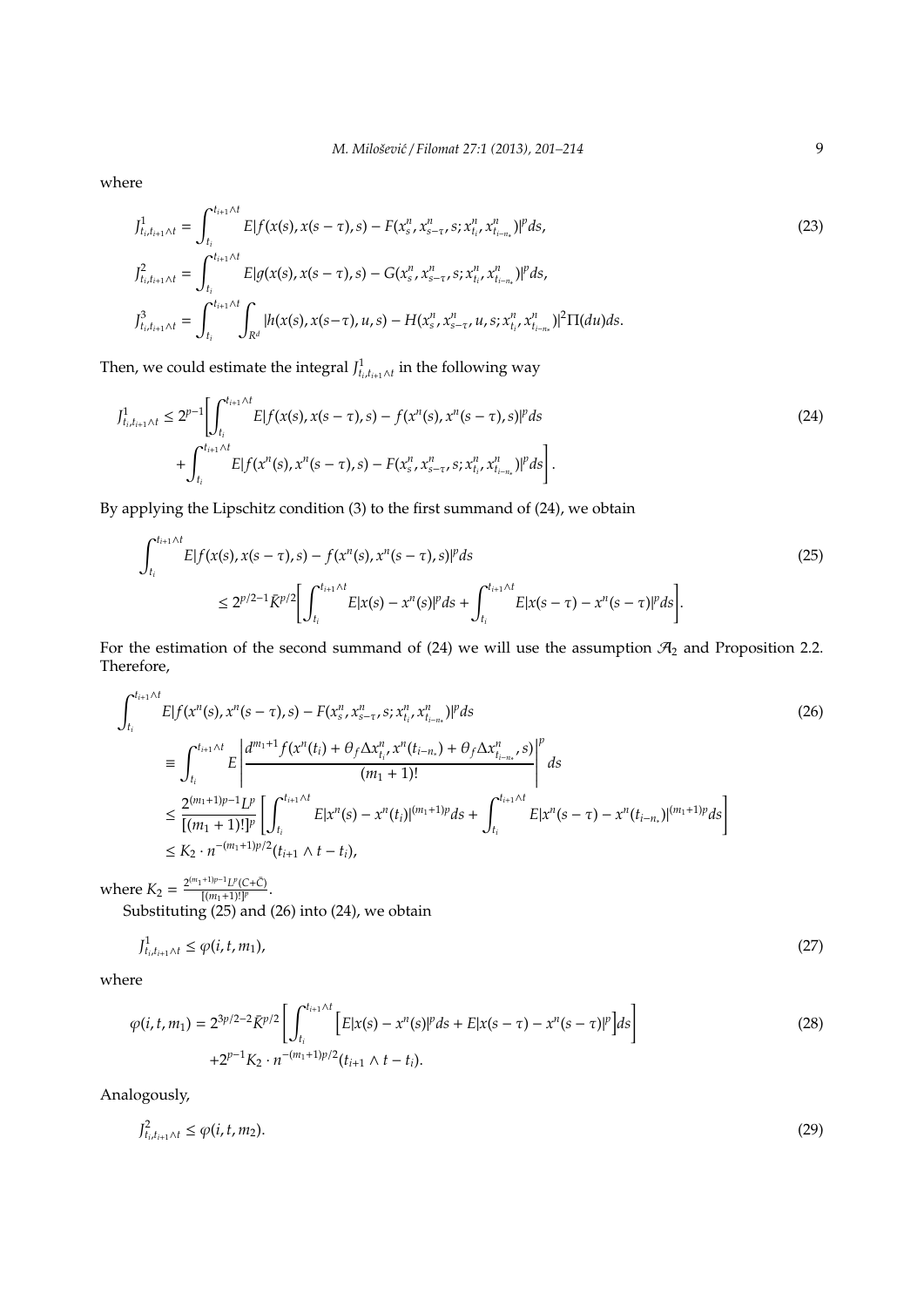where

$$
J_{t_i, t_{i+1} \wedge t}^1 = \int_{t_i}^{t_{i+1} \wedge t} E[f(x(s), x(s-\tau), s) - F(x_s^n, x_{s-\tau}^n, s; x_{t_i}^n, x_{t_{i-n}}^n)]^p ds,
$$
  
\n
$$
J_{t_i, t_{i+1} \wedge t}^2 = \int_{t_i}^{t_{i+1} \wedge t} E[g(x(s), x(s-\tau), s) - G(x_s^n, x_{s-\tau}^n, s; x_{t_i}^n, x_{t_{i-n}}^n)]^p ds,
$$
  
\n
$$
J_{t_i, t_{i+1} \wedge t}^3 = \int_{t_i}^{t_{i+1} \wedge t} \int_{R^d} |h(x(s), x(s-\tau), u, s) - H(x_s^n, x_{s-\tau}^n, u, s; x_{t_i}^n, x_{t_{i-n}}^n)|^2 \Pi(du) ds.
$$
\n(23)

Then, we could estimate the integral  $J<sup>1</sup><sub>t<sub>i</sub>, t<sub>i+1</sub> \wedge t}</sub>$  in the following way

$$
J_{t_i, t_{i+1} \wedge t}^1 \le 2^{p-1} \Biggl[ \int_{t_i}^{t_{i+1} \wedge t} E[f(x(s), x(s-\tau), s) - f(x^n(s), x^n(s-\tau), s)]^p ds \Biggr] + \int_{t_i}^{t_{i+1} \wedge t} E[f(x^n(s), x^n(s-\tau), s) - F(x_s^n, x_{s-\tau}^n, s; x_{t_i}^n, x_{t_{i-n}}^n)]^p ds \Biggr].
$$
\n(24)

By applying the Lipschitz condition (3) to the first summand of (24), we obtain

$$
\int_{t_i}^{t_{i+1}\wedge t} E|f(x(s), x(s-\tau), s) - f(x^n(s), x^n(s-\tau), s)|^p ds
$$
\n
$$
\leq 2^{p/2 - 1} \bar{K}^{p/2} \Biggl[ \int_{t_i}^{t_{i+1}\wedge t} E|x(s) - x^n(s)|^p ds + \int_{t_i}^{t_{i+1}\wedge t} E|x(s-\tau) - x^n(s-\tau)|^p ds \Biggr].
$$
\n(25)

For the estimation of the second summand of (24) we will use the assumption  $\mathcal{A}_2$  and Proposition 2.2. Therefore,

$$
\int_{t_i}^{t_{i+1}\wedge t} E|f(x^n(s), x^n(s-\tau), s) - F(x_s^n, x_{s-\tau}^n, s; x_{t_i}^n, x_{t_{i-n}}^n)|^p ds \tag{26}
$$
\n
$$
\equiv \int_{t_i}^{t_{i+1}\wedge t} E\left|\frac{d^{m_1+1}f(x^n(t_i) + \theta_f \Delta x_{t_i}^n, x^n(t_{i-n_i}) + \theta_f \Delta x_{t_{i-n_s}}^n, s)}{(m_1+1)!}\right|^p ds
$$
\n
$$
\leq \frac{2^{(m_1+1)p-1}L^p}{[(m_1+1)!]^p} \left[\int_{t_i}^{t_{i+1}\wedge t} E|x^n(s) - x^n(t_i)|^{(m_1+1)p} ds + \int_{t_i}^{t_{i+1}\wedge t} E|x^n(s-\tau) - x^n(t_{i-n_*})|^{(m_1+1)p} ds\right]
$$
\n
$$
\leq K_2 \cdot n^{-(m_1+1)p/2} (t_{i+1} \wedge t - t_i),
$$
\n(26)

where  $K_2 = \frac{2^{(m_1+1)p-1}L^p(C+\bar{C})}{[(m_1+1)!]^p}$  $\frac{N(L+C)}{[(m_1+1)!]^p}$ .

Substituting (25) and (26) into (24), we obtain

$$
J_{t_i,t_{i+1}\wedge t}^1 \le \varphi(i,t,m_1),\tag{27}
$$

where

$$
\varphi(i, t, m_1) = 2^{3p/2 - 2} \bar{K}^{p/2} \left[ \int_{t_i}^{t_{i+1} \wedge t} \left[ E|x(s) - x^n(s)|^p ds + E|x(s - \tau) - x^n(s - \tau)|^p \right] ds \right] + 2^{p-1} K_2 \cdot n^{-(m_1 + 1)p/2} (t_{i+1} \wedge t - t_i).
$$
\n(28)

Analogously,

$$
J_{t_i,t_{i+1}\wedge t}^2 \leq \varphi(i,t,m_2). \tag{29}
$$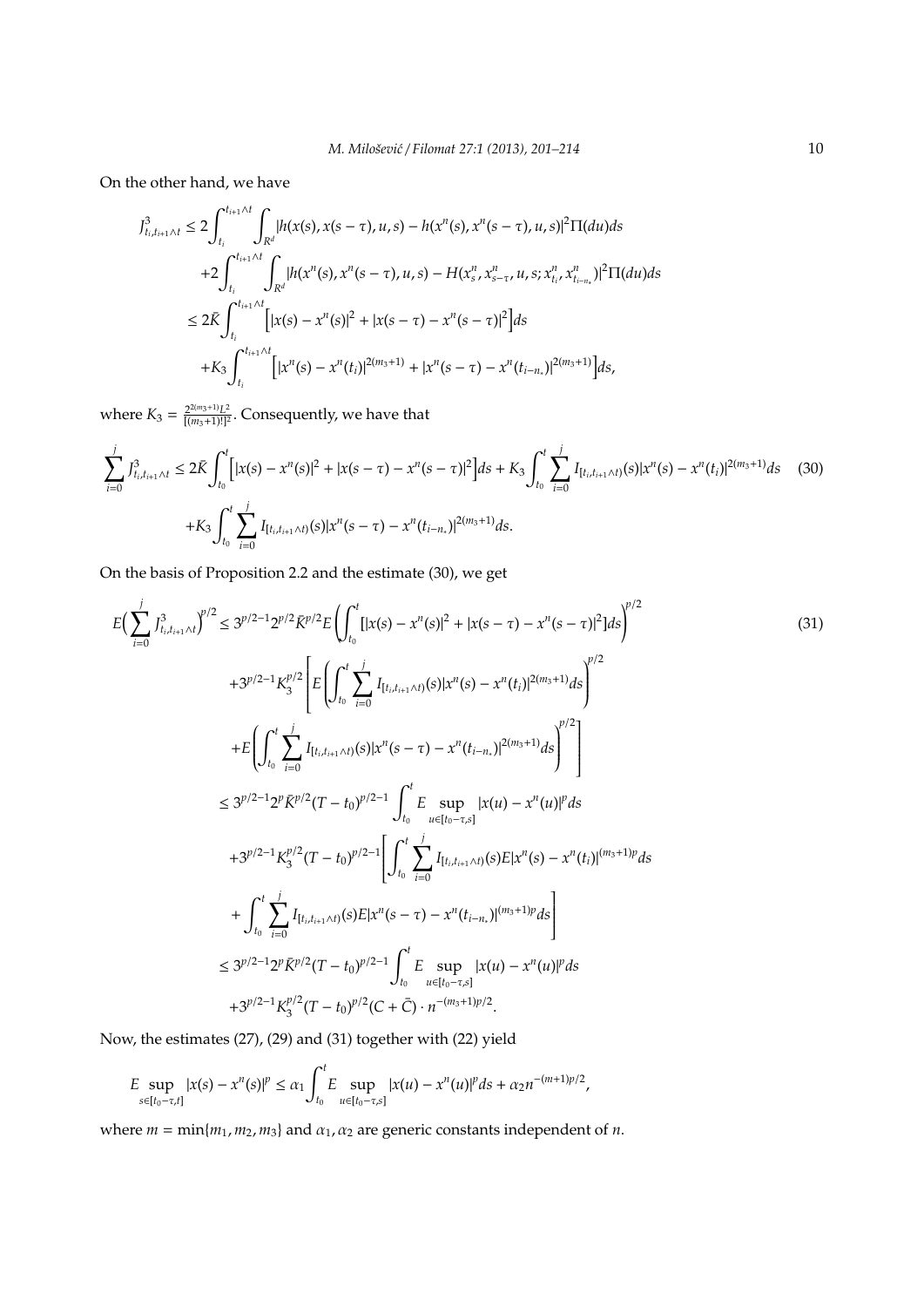On the other hand, we have

$$
J_{t_i, t_{i+1} \wedge t}^3 \le 2 \int_{t_i}^{t_{i+1} \wedge t} \int_{R^d} |h(x(s), x(s-\tau), u, s) - h(x^n(s), x^n(s-\tau), u, s)|^2 \Pi(du) ds
$$
  
+2
$$
\int_{t_i}^{t_{i+1} \wedge t} \int_{R^d} |h(x^n(s), x^n(s-\tau), u, s) - H(x_s^n, x_{s-\tau}^n, u, s; x_{t_i}^n, x_{t_{i-n}}^n)|^2 \Pi(du) ds
$$
  

$$
\le 2\bar{K} \int_{t_i}^{t_{i+1} \wedge t} \left[ |x(s) - x^n(s)|^2 + |x(s-\tau) - x^n(s-\tau)|^2 \right] ds
$$
  
+K<sub>3</sub>
$$
\int_{t_i}^{t_{i+1} \wedge t} \left[ |x^n(s) - x^n(t_i)|^{2(m_3+1)} + |x^n(s-\tau) - x^n(t_{i-n_*})|^{2(m_3+1)} \right] ds,
$$

where  $K_3 = \frac{2^{2(m_3+1)}L^2}{[(m_3+1)!]^2}$  $\frac{2^{2(m_3+1)}L^2}{[(m_3+1)!]^2}$ . Consequently, we have that

$$
\sum_{i=0}^{j} J_{t_i, t_{i+1} \wedge t}^3 \le 2 \bar{K} \int_{t_0}^t \left[ |x(s) - x^n(s)|^2 + |x(s - \tau) - x^n(s - \tau)|^2 \right] ds + K_3 \int_{t_0}^t \sum_{i=0}^j I_{[t_i, t_{i+1} \wedge t)}(s) |x^n(s) - x^n(t_i)|^{2(m_3+1)} ds \tag{30}
$$
  
+
$$
K_3 \int_{t_0}^t \sum_{i=0}^j I_{[t_i, t_{i+1} \wedge t)}(s) |x^n(s - \tau) - x^n(t_{i-n_*)}|^{2(m_3+1)} ds.
$$

On the basis of Proposition 2.2 and the estimate (30), we get

$$
E\left(\sum_{i=0}^{j} \int_{t_{i},t_{i+1}\wedge t}^{3} y^{i/2} \leq 3^{p/2-1} 2^{p/2} \bar{K}^{p/2} E\left(\int_{t_{0}}^{t} [|x(s) - x^{n}(s)|^{2} + |x(s - \tau) - x^{n}(s - \tau)|^{2}] ds\right)^{p/2} +3^{p/2-1} K_{3}^{p/2} \left[E\left(\int_{t_{0}}^{t} \sum_{i=0}^{j} I_{[t_{i},t_{i+1}\wedge t)}(s)|x^{n}(s) - x^{n}(t_{i})|^{2(m_{3}+1)} ds\right)^{p/2} \right] +E\left(\int_{t_{0}}^{t} \sum_{i=0}^{j} I_{[t_{i},t_{i+1}\wedge t)}(s)|x^{n}(s - \tau) - x^{n}(t_{i-n,1})|^{2(m_{3}+1)} ds\right)^{p/2} \right] 
$$
\leq 3^{p/2-1} 2^{p} \bar{K}^{p/2} (T - t_{0})^{p/2-1} \int_{t_{0}}^{t} E \sup_{u \in [t_{0}-\tau,s]} |x(u) - x^{n}(u)|^{p} ds +3^{p/2-1} K_{3}^{p/2} (T - t_{0})^{p/2-1} \left[\int_{t_{0}}^{t} \sum_{i=0}^{j} I_{[t_{i},t_{i+1}\wedge t)}(s) E|x^{n}(s) - x^{n}(t_{i})|^{(m_{3}+1)p} ds\right] 
$$
\leq 3^{p/2-1} 2^{p} \bar{K}^{p/2} (T - t_{0})^{p/2-1} \int_{t_{0}}^{t} E \sup_{u \in [t_{0}-\tau,s]} |x(u) - x^{n}(u)|^{p} ds +3^{p/2-1} K_{3}^{p/2} (T - t_{0})^{p/2} (C + \bar{C}) \cdot n^{-(m_{3}+1)p/2}.
$$
$$
$$

Now, the estimates (27), (29) and (31) together with (22) yield

$$
E \sup_{s \in [t_0 - \tau, t]} |x(s) - x^n(s)|^p \leq \alpha_1 \int_{t_0}^t E \sup_{u \in [t_0 - \tau, s]} |x(u) - x^n(u)|^p ds + \alpha_2 n^{-(m+1)p/2},
$$

where  $m = \min\{m_1, m_2, m_3\}$  and  $\alpha_1, \alpha_2$  are generic constants independent of *n*.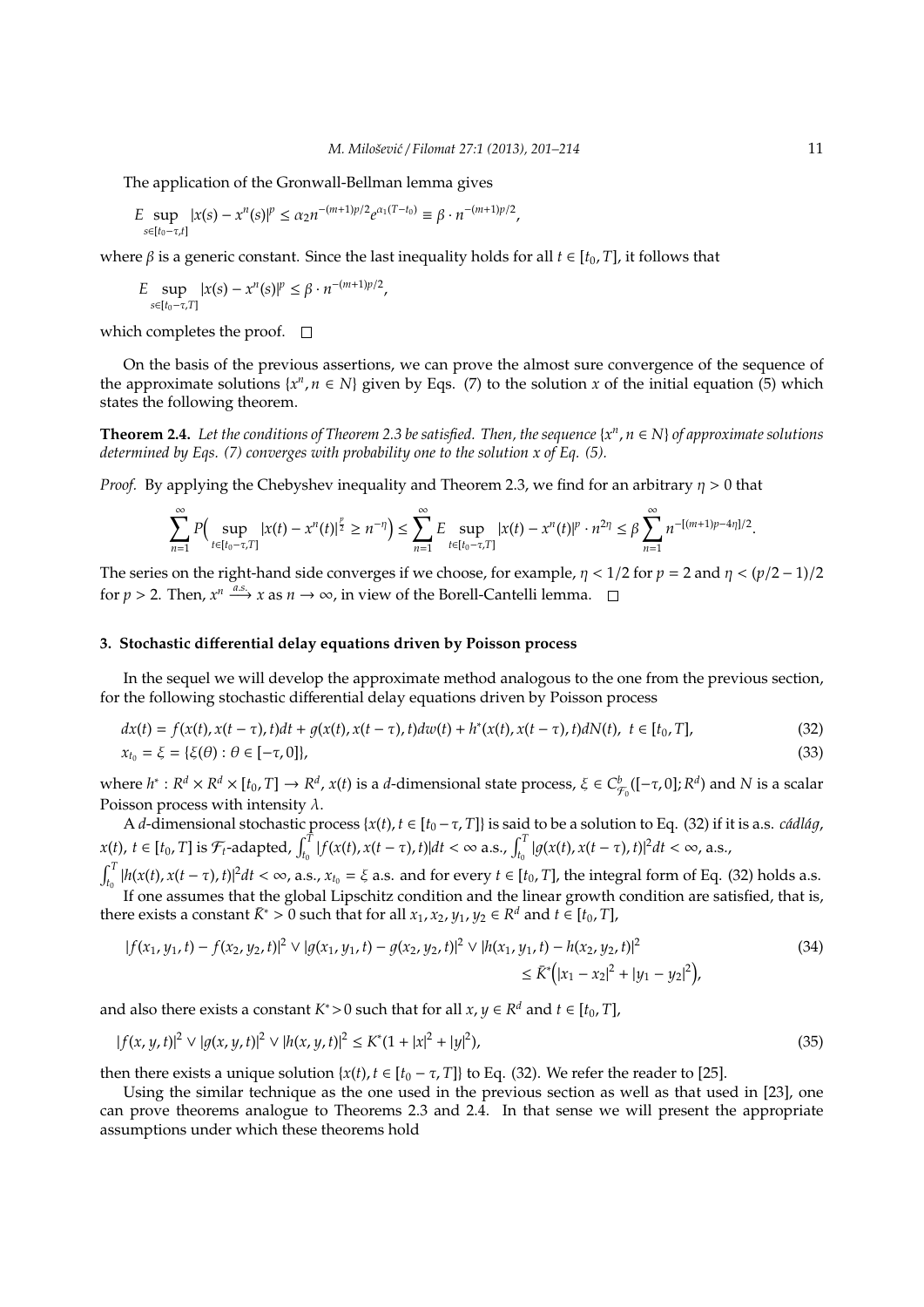The application of the Gronwall-Bellman lemma gives

$$
E \sup_{s \in [t_0 - \tau, t]} |x(s) - x^n(s)|^p \leq \alpha_2 n^{-(m+1)p/2} e^{\alpha_1 (T - t_0)} \equiv \beta \cdot n^{-(m+1)p/2},
$$

where  $\beta$  is a generic constant. Since the last inequality holds for all  $t \in [t_0, T]$ , it follows that

$$
E \sup_{s \in [t_0 - \tau, T]} |x(s) - x^n(s)|^p \le \beta \cdot n^{-(m+1)p/2},
$$

which completes the proof.  $\square$ 

On the basis of the previous assertions, we can prove the almost sure convergence of the sequence of the approximate solutions  $\{x^n, n \in N\}$  given by Eqs. (7) to the solution *x* of the initial equation (5) which states the following theorem.

**Theorem 2.4.** *Let the conditions of Theorem 2.3 be satisfied. Then, the sequence* {*x n* , *n* ∈ *N*} *of approximate solutions determined by Eqs. (7) converges with probability one to the solution x of Eq. (5).*

*Proof.* By applying the Chebyshev inequality and Theorem 2.3, we find for an arbitrary  $\eta > 0$  that

$$
\sum_{n=1}^{\infty} P\Big(\sup_{t\in [t_0-\tau,T]} |x(t)-x^n(t)|^{\frac{p}{2}} \geq n^{-\eta}\Big) \leq \sum_{n=1}^{\infty} E \sup_{t\in [t_0-\tau,T]} |x(t)-x^n(t)|^p \cdot n^{2\eta} \leq \beta \sum_{n=1}^{\infty} n^{-[(m+1)p-4\eta]/2}.
$$

The series on the right-hand side converges if we choose, for example,  $\eta$  < 1/2 for  $p = 2$  and  $\eta$  <  $\frac{p}{2} - 1/2$ for  $p > 2$ . Then,  $x^n \xrightarrow{a.s.} x$  as  $n \to \infty$ , in view of the Borell-Cantelli lemma.

### **3. Stochastic di**ff**erential delay equations driven by Poisson process**

In the sequel we will develop the approximate method analogous to the one from the previous section, for the following stochastic differential delay equations driven by Poisson process

$$
dx(t) = f(x(t), x(t-\tau), t)dt + g(x(t), x(t-\tau), t)dw(t) + h^{*}(x(t), x(t-\tau), t)dN(t), t \in [t_0, T],
$$
  
\n
$$
x_{t_0} = \xi = {\xi(\theta) : \theta \in [-\tau, 0]},
$$
\n(32)

where  $h^*: R^d \times R^d \times [t_0, T] \to R^d$ ,  $x(t)$  is a d-dimensional state process,  $\xi \in C^b_{\mathcal{F}_0}([- \tau, 0]; R^d)$  and N is a scalar Poisson process with intensity  $\lambda$ .

A *d*-dimensional stochastic process { $x(t)$ ,  $t \in [t_0 - \tau, T]$ } is said to be a solution to Eq. (32) if it is a.s. *cádlág*,  $x(t), t \in [t_0, T]$  is  $\mathcal{F}_t$ -adapted,  $\int_{t_0}^T |f(x(t), x(t-\tau), t)|dt < \infty$  a.s.,  $\int_{t_0}^T |g(x(t), x(t-\tau), t)|^2 dt < \infty$ , a.s.,

 $\int_{t_0}^T |h(x(t), x(t-\tau), t)|^2 dt < \infty$ , a.s.,  $x_{t_0} = \xi$  a.s. and for every  $t \in [t_0, T]$ , the integral form of Eq. (32) holds a.s. If one assumes that the global Lipschitz condition and the linear growth condition are satisfied, that is, there exists a constant  $\bar{K}^∗ > 0$  such that for all  $x_1, x_2, y_1, y_2 \in \mathbb{R}^d$  and  $t \in [t_0, T]$ ,

$$
|f(x_1, y_1, t) - f(x_2, y_2, t)|^2 \vee |g(x_1, y_1, t) - g(x_2, y_2, t)|^2 \vee |h(x_1, y_1, t) - h(x_2, y_2, t)|^2
$$
  
\$\le \bar{K}^\* (|x\_1 - x\_2|^2 + |y\_1 - y\_2|^2)\$, (34)

and also there exists a constant  $K^* > 0$  such that for all  $x, y \in R^d$  and  $t \in [t_0, T]$ ,

$$
|f(x, y, t)|^2 \vee |g(x, y, t)|^2 \vee |h(x, y, t)|^2 \le K^*(1 + |x|^2 + |y|^2),\tag{35}
$$

then there exists a unique solution  $\{x(t), t \in [t_0 - \tau, T]\}$  to Eq. (32). We refer the reader to [25].

Using the similar technique as the one used in the previous section as well as that used in [23], one can prove theorems analogue to Theorems 2.3 and 2.4. In that sense we will present the appropriate assumptions under which these theorems hold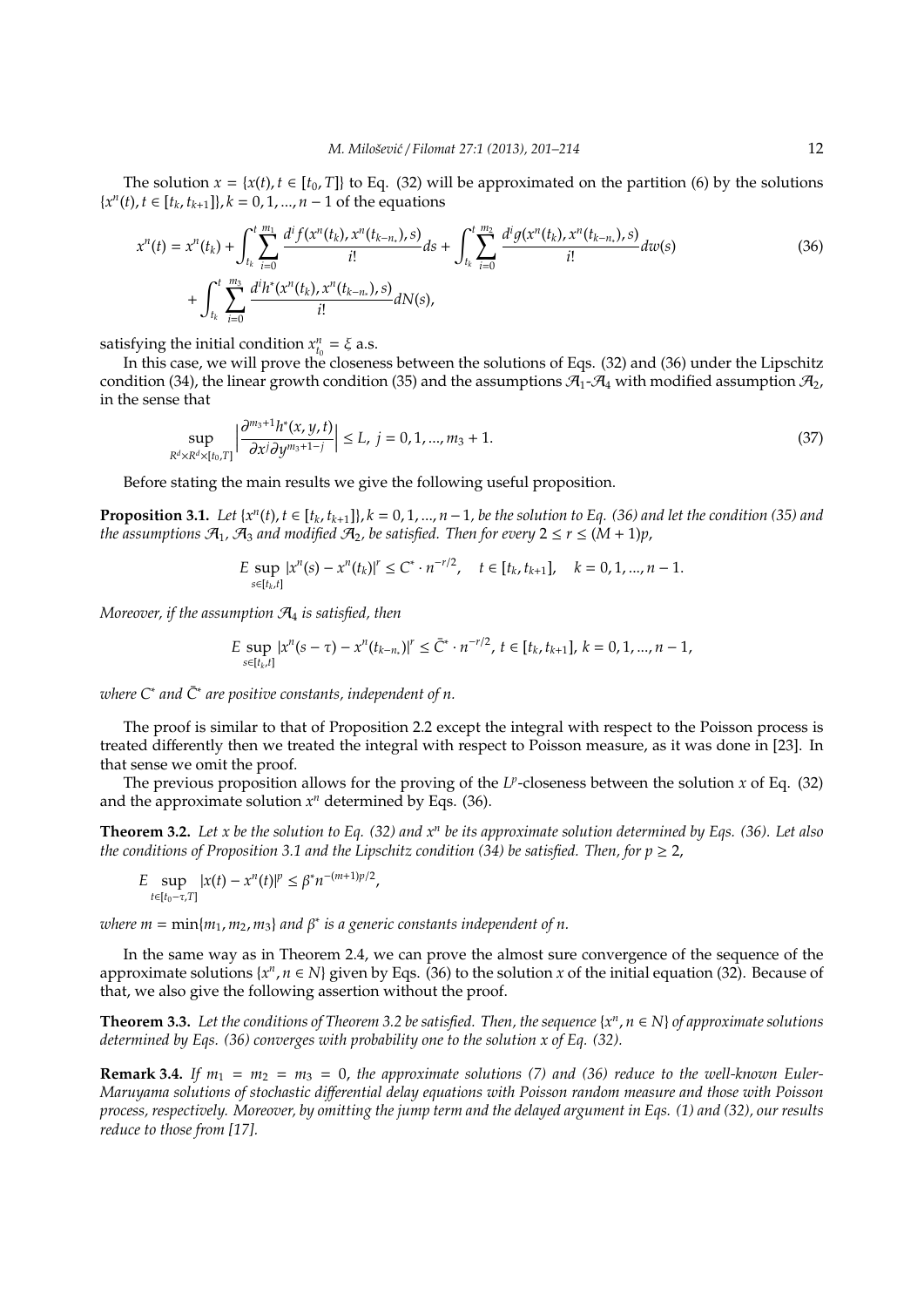The solution  $x = \{x(t), t \in [t_0, T]\}$  to Eq. (32) will be approximated on the partition (6) by the solutions {*x n* (*t*), *t* ∈ [*t<sup>k</sup>* , *t<sup>k</sup>*+<sup>1</sup>]}, *k* = 0, 1, ..., *n* − 1 of the equations

$$
x^{n}(t) = x^{n}(t_{k}) + \int_{t_{k}}^{t} \sum_{i=0}^{m_{1}} \frac{d^{i} f(x^{n}(t_{k}), x^{n}(t_{k-n_{*}}), s)}{i!} ds + \int_{t_{k}}^{t} \sum_{i=0}^{m_{2}} \frac{d^{i} g(x^{n}(t_{k}), x^{n}(t_{k-n_{*}}), s)}{i!} dw(s)
$$
\n
$$
+ \int_{t_{k}}^{t} \sum_{i=0}^{m_{3}} \frac{d^{i} h^{*}(x^{n}(t_{k}), x^{n}(t_{k-n_{*}}), s)}{i!} dN(s), \qquad (36)
$$

satisfying the initial condition  $x_{t_0}^n = \xi$  a.s.

In this case, we will prove the closeness between the solutions of Eqs. (32) and (36) under the Lipschitz condition (34), the linear growth condition (35) and the assumptions  $\mathcal{A}_1$ - $\mathcal{A}_4$  with modified assumption  $\mathcal{A}_2$ , in the sense that

$$
\sup_{R^d \times R^d \times [t_0, T]} \left| \frac{\partial^{m_3+1} h^*(x, y, t)}{\partial x^j \partial y^{m_3+1-j}} \right| \le L, \ j = 0, 1, ..., m_3 + 1. \tag{37}
$$

Before stating the main results we give the following useful proposition.

**Proposition 3.1.** Let  $\{x^n(t), t \in [t_k, t_{k+1}]\}$ ,  $k = 0, 1, ..., n-1$ , be the solution to Eq. (36) and let the condition (35) and *the assumptions*  $\mathcal{A}_1$ ,  $\mathcal{A}_3$  *and modified*  $\mathcal{A}_2$ , *be satisfied. Then for every*  $2 \le r \le (M + 1)p$ ,

$$
E \sup_{s \in [t_k, t]} |x^n(s) - x^n(t_k)|^r \le C^* \cdot n^{-r/2}, \quad t \in [t_k, t_{k+1}], \quad k = 0, 1, ..., n-1.
$$

*Moreover, if the assumption* A<sup>4</sup> *is satisfied, then*

$$
E \sup_{s \in [t_k,t]} |x^n(s-\tau) - x^n(t_{k-n})|^r \leq \overline{C}^* \cdot n^{-r/2}, \ t \in [t_k,t_{k+1}], \ k = 0,1,...,n-1,
$$

 $\omega$ here C<sup>∗</sup> and  $\bar{C}^*$  are positive constants, independent of n.

The proof is similar to that of Proposition 2.2 except the integral with respect to the Poisson process is treated differently then we treated the integral with respect to Poisson measure, as it was done in [23]. In that sense we omit the proof.

The previous proposition allows for the proving of the  $L^p$ -closeness between the solution  $x$  of Eq. (32) and the approximate solution  $x^n$  determined by Eqs. (36).

**Theorem 3.2.** *Let x be the solution to Eq. (32) and x<sup>n</sup> be its approximate solution determined by Eqs. (36). Let also the conditions of Proposition 3.1 and the Lipschitz condition (34) be satisfied. Then, for*  $p \ge 2$ *,* 

$$
E \sup_{t \in [t_0 - \tau, T]} |x(t) - x^n(t)|^p \leq \beta^* n^{-(m+1)p/2},
$$

 $\omega$ here  $m = \min\{m_1, m_2, m_3\}$  and  $\beta^*$  is a generic constants independent of n.

In the same way as in Theorem 2.4, we can prove the almost sure convergence of the sequence of the approximate solutions  $\{x^n, n \in N\}$  given by Eqs. (36) to the solution *x* of the initial equation (32). Because of that, we also give the following assertion without the proof.

**Theorem 3.3.** *Let the conditions of Theorem 3.2 be satisfied. Then, the sequence* {*x n* , *n* ∈ *N*} *of approximate solutions determined by Eqs. (36) converges with probability one to the solution x of Eq. (32).*

**Remark 3.4.** If  $m_1 = m_2 = m_3 = 0$ , the approximate solutions (7) and (36) reduce to the well-known Euler-*Maruyama solutions of stochastic di*ff*erential delay equations with Poisson random measure and those with Poisson process, respectively. Moreover, by omitting the jump term and the delayed argument in Eqs. (1) and (32), our results reduce to those from [17].*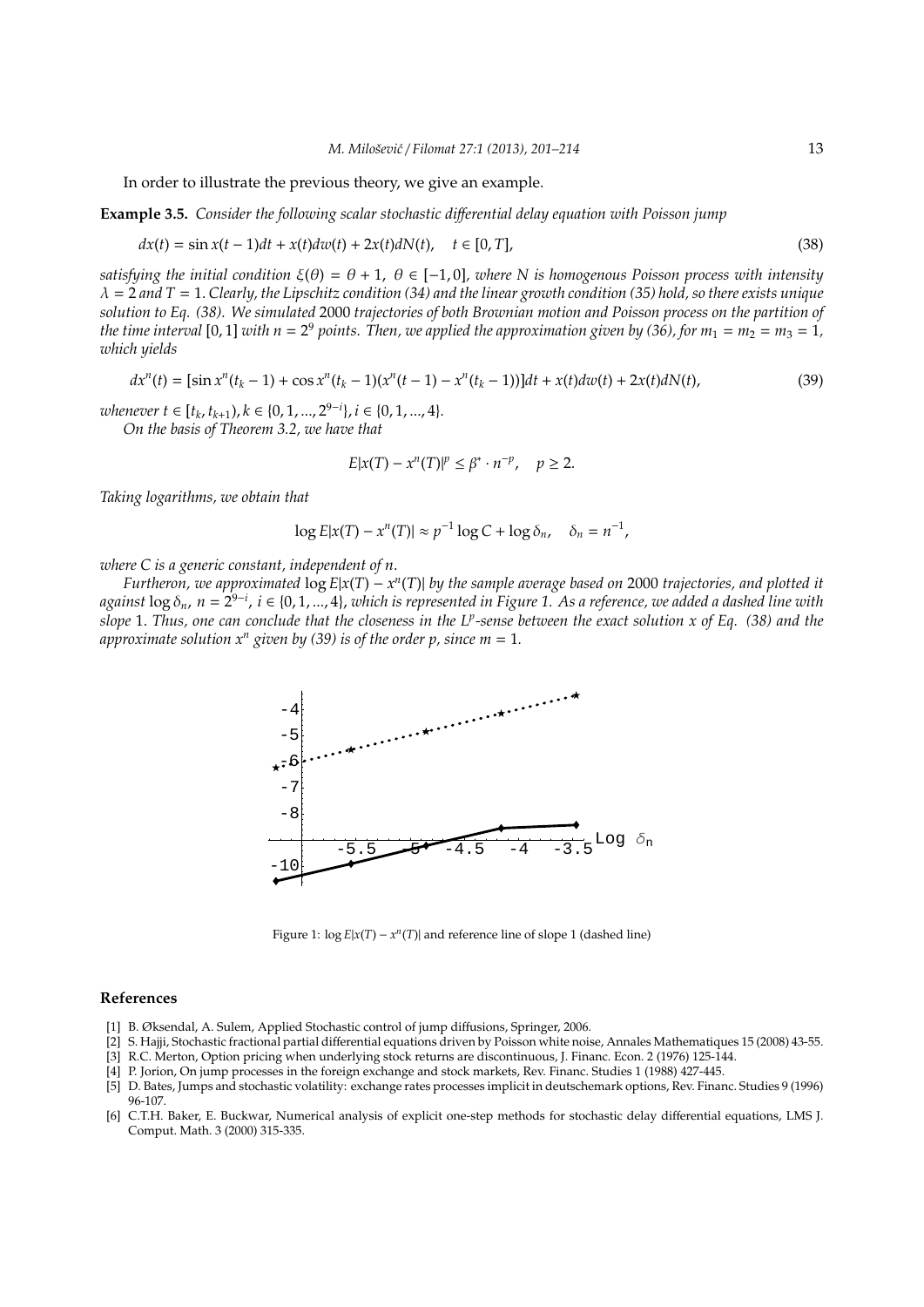In order to illustrate the previous theory, we give an example.

**Example 3.5.** *Consider the following scalar stochastic di*ff*erential delay equation with Poisson jump*

$$
dx(t) = \sin x(t-1)dt + x(t)dw(t) + 2x(t)dN(t), \quad t \in [0, T],
$$
\n(38)

*satisfying the initial condition* ξ(θ) = θ + 1, θ ∈ [−1, 0]*, where N is homogenous Poisson process with intensity* λ = 2 *and T* = 1. *Clearly, the Lipschitz condition (34) and the linear growth condition (35) hold, so there exists unique solution to Eq. (38). We simulated* 2000 *trajectories of both Brownian motion and Poisson process on the partition of* the time interval [0, 1] with  $n=2^9$  points. Then, we applied the approximation given by (36), for  $m_1=m_2=m_3=1$ , *which yields*

$$
dx^{n}(t) = [\sin x^{n}(t_{k} - 1) + \cos x^{n}(t_{k} - 1)(x^{n}(t - 1) - x^{n}(t_{k} - 1))]dt + x(t)dw(t) + 2x(t)dN(t),
$$
\n(39)

 $$ 

*On the basis of Theorem 3.2, we have that*

$$
E|x(T) - x^n(T)|^p \le \beta^* \cdot n^{-p}, \quad p \ge 2.
$$

*Taking logarithms, we obtain that*

$$
\log E|x(T) - x^n(T)| \approx p^{-1}\log C + \log \delta_n, \quad \delta_n = n^{-1},
$$

*where C is a generic constant, independent of n*.

*Furtheron, we approximated* log *E*|*x*(*T*) − *x n* (*T*)| *by the sample average based on* 2000 *trajectories, and plotted it against* log δ*n*, *n* = 2 9−*i* , *i* ∈ {0, 1, ..., 4}, *which is represented in Figure 1. As a reference, we added a dashed line with slope* 1. *Thus, one can conclude that the closeness in the L<sup>p</sup> -sense between the exact solution x of Eq. (38) and the approximate solution*  $x^n$  *given by (39) is of the order p, since m = 1.* 



Figure 1:  $\log E|x(T) - x^n(T)|$  and reference line of slope 1 (dashed line)

#### **References**

- [1] B. Øksendal, A. Sulem, Applied Stochastic control of jump diffusions, Springer, 2006.
- [2] S. Hajji, Stochastic fractional partial differential equations driven by Poisson white noise, Annales Mathematiques 15 (2008) 43-55.
- [3] R.C. Merton, Option pricing when underlying stock returns are discontinuous, J. Financ. Econ. 2 (1976) 125-144.
- [4] P. Jorion, On jump processes in the foreign exchange and stock markets, Rev. Financ. Studies 1 (1988) 427-445.
- [5] D. Bates, Jumps and stochastic volatility: exchange rates processes implicit in deutschemark options, Rev. Financ. Studies 9 (1996) 96-107.
- [6] C.T.H. Baker, E. Buckwar, Numerical analysis of explicit one-step methods for stochastic delay differential equations, LMS J. Comput. Math. 3 (2000) 315-335.